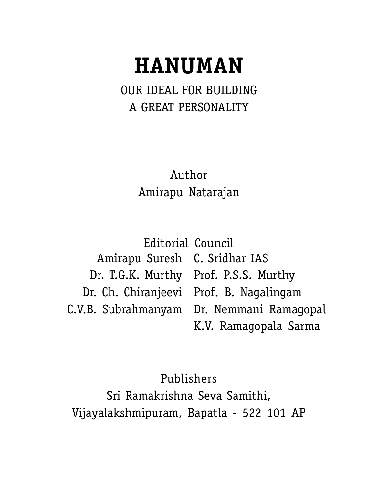# **HANUMAN**

OUR IDEAL FOR BUILDING A GREAT PERSONALITY

> Author Amirapu Natarajan

Amirapu Suresh | C. Sridhar IAS Dr. T.G.K. Murthy | Prof. P.S.S. Murthy Dr. Ch. Chiranjeevi | Prof. B. Nagalingam C.V.B. Subrahmanyam| Dr. Nemmani Ramagopal K.V. Ramagopala Sarma Editorial Council

Publishers Sri Ramakrishna Seva Samithi, Vijayalakshmipuram, Bapatla - 522 101 AP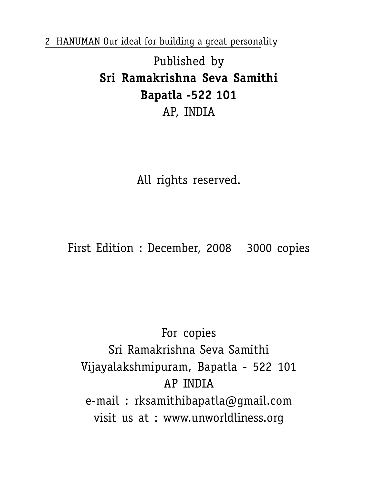Published by **Sri Ramakrishna Seva Samithi Bapatla -522 101** AP, INDIA

All rights reserved.

First Edition : December, 2008 3000 copies

For copies Sri Ramakrishna Seva Samithi Vijayalakshmipuram, Bapatla - 522 101 AP INDIA e-mail : rksamithibapatla@gmail.com visit us at : www.unworldliness.org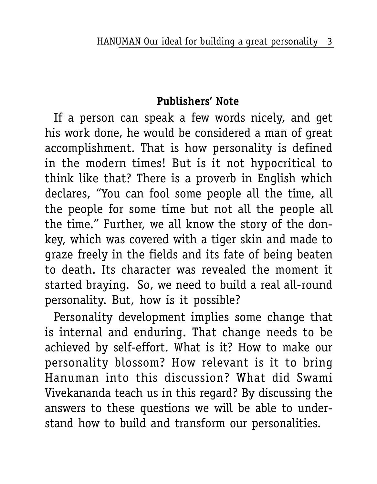## **Publishers' Note**

If a person can speak a few words nicely, and get his work done, he would be considered a man of great accomplishment. That is how personality is defined in the modern times! But is it not hypocritical to think like that? There is a proverb in English which declares, "You can fool some people all the time, all the people for some time but not all the people all the time." Further, we all know the story of the donkey, which was covered with a tiger skin and made to graze freely in the fields and its fate of being beaten to death. Its character was revealed the moment it started braying. So, we need to build a real all-round personality. But, how is it possible?

Personality development implies some change that is internal and enduring. That change needs to be achieved by self-effort. What is it? How to make our personality blossom? How relevant is it to bring Hanuman into this discussion? What did Swami Vivekananda teach us in this regard? By discussing the answers to these questions we will be able to understand how to build and transform our personalities.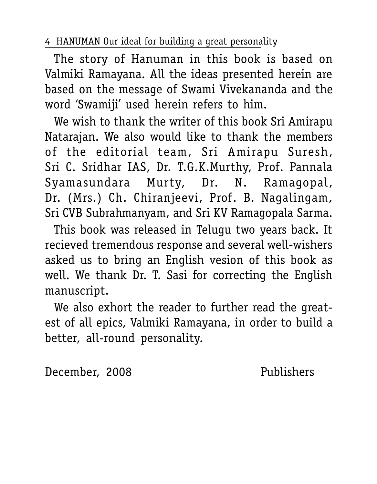The story of Hanuman in this book is based on Valmiki Ramayana. All the ideas presented herein are based on the message of Swami Vivekananda and the word 'Swamiji' used herein refers to him.

We wish to thank the writer of this book Sri Amirapu Natarajan. We also would like to thank the members of the editorial team, Sri Amirapu Suresh, Sri C. Sridhar IAS, Dr. T.G.K.Murthy, Prof. Pannala Syamasundara Murty, Dr. N. Ramagopal, Dr. (Mrs.) Ch. Chiranjeevi, Prof. B. Nagalingam, Sri CVB Subrahmanyam, and Sri KV Ramagopala Sarma.

This book was released in Telugu two years back. It recieved tremendous response and several well-wishers asked us to bring an English vesion of this book as well. We thank Dr. T. Sasi for correcting the English manuscript.

We also exhort the reader to further read the greatest of all epics, Valmiki Ramayana, in order to build a better, all-round personality.

December, 2008 Publishers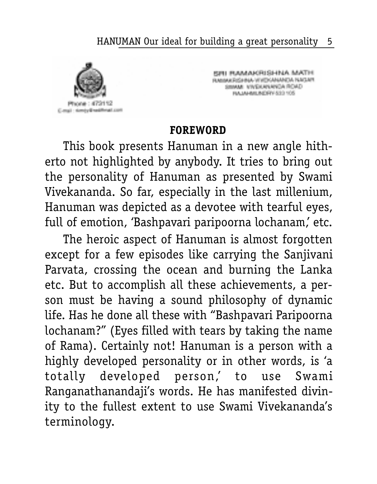

SRI RAMAKRISHNA MATH RAMAKEGINA WWDOAMADA RAGAM<br>SIMAAL VIVEKANANGA ROAD<br>HAJAHALMORY 533 105

## **FOREWORD**

This book presents Hanuman in a new angle hitherto not highlighted by anybody. It tries to bring out the personality of Hanuman as presented by Swami Vivekananda. So far, especially in the last millenium, Hanuman was depicted as a devotee with tearful eyes, full of emotion, 'Bashpavari paripoorna lochanam,' etc.

The heroic aspect of Hanuman is almost forgotten except for a few episodes like carrying the Sanjivani Parvata, crossing the ocean and burning the Lanka etc. But to accomplish all these achievements, a person must be having a sound philosophy of dynamic life. Has he done all these with "Bashpavari Paripoorna lochanam?" (Eyes filled with tears by taking the name of Rama). Certainly not! Hanuman is a person with a highly developed personality or in other words, is 'a totally developed person,' to use Swami Ranganathanandaji's words. He has manifested divinity to the fullest extent to use Swami Vivekananda's terminology.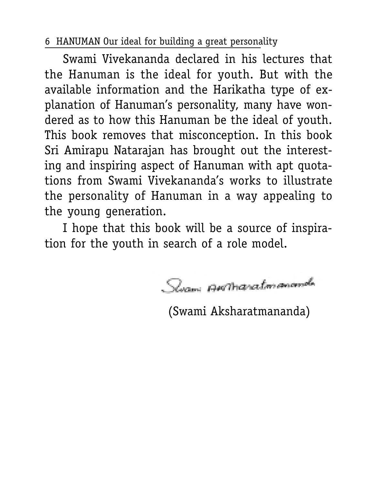Swami Vivekananda declared in his lectures that the Hanuman is the ideal for youth. But with the available information and the Harikatha type of explanation of Hanuman's personality, many have wondered as to how this Hanuman be the ideal of youth. This book removes that misconception. In this book Sri Amirapu Natarajan has brought out the interesting and inspiring aspect of Hanuman with apt quotations from Swami Vivekananda's works to illustrate the personality of Hanuman in a way appealing to the young generation.

I hope that this book will be a source of inspiration for the youth in search of a role model.

Syami Annanaton anomala

(Swami Aksharatmananda)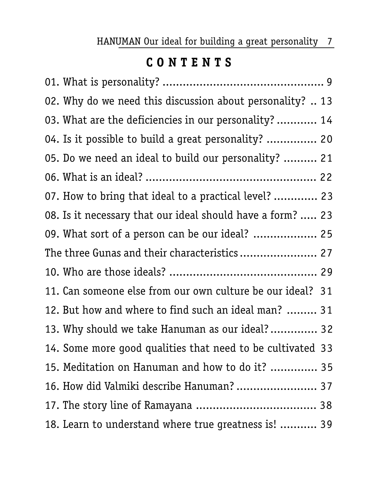# **C O N T E N T S**

| 02. Why do we need this discussion about personality?  13  |  |
|------------------------------------------------------------|--|
| 03. What are the deficiencies in our personality?  14      |  |
| 04. Is it possible to build a great personality?  20       |  |
| 05. Do we need an ideal to build our personality?  21      |  |
|                                                            |  |
| 07. How to bring that ideal to a practical level?  23      |  |
| 08. Is it necessary that our ideal should have a form?  23 |  |
| 09. What sort of a person can be our ideal?  25            |  |
| The three Gunas and their characteristics 27               |  |
|                                                            |  |
| 11. Can someone else from our own culture be our ideal? 31 |  |
| 12. But how and where to find such an ideal man?  31       |  |
| 13. Why should we take Hanuman as our ideal? 32            |  |
| 14. Some more good qualities that need to be cultivated 33 |  |
| 15. Meditation on Hanuman and how to do it?  35            |  |
| 16. How did Valmiki describe Hanuman?  37                  |  |
|                                                            |  |
| 18. Learn to understand where true greatness is!  39       |  |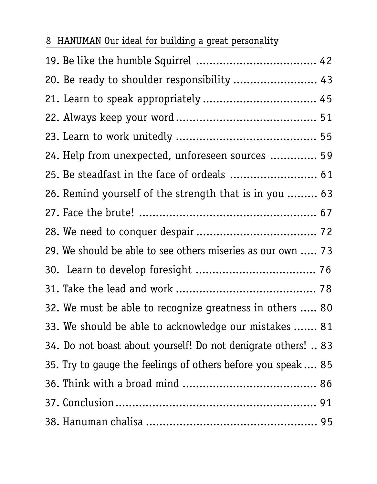| 8 HANUMAN Our ideal for building a great personality |  |  |  |  |
|------------------------------------------------------|--|--|--|--|
|                                                      |  |  |  |  |

| 20. Be ready to shoulder responsibility  43                   |
|---------------------------------------------------------------|
| 21. Learn to speak appropriately  45                          |
|                                                               |
|                                                               |
| 24. Help from unexpected, unforeseen sources  59              |
| 25. Be steadfast in the face of ordeals  61                   |
| 26. Remind yourself of the strength that is in you  63        |
|                                                               |
|                                                               |
| 29. We should be able to see others miseries as our own  73   |
|                                                               |
|                                                               |
| 32. We must be able to recognize greatness in others  80      |
| 33. We should be able to acknowledge our mistakes  81         |
| 34. Do not boast about yourself! Do not denigrate others!  83 |
| 35. Try to gauge the feelings of others before you speak  85  |
|                                                               |
|                                                               |
|                                                               |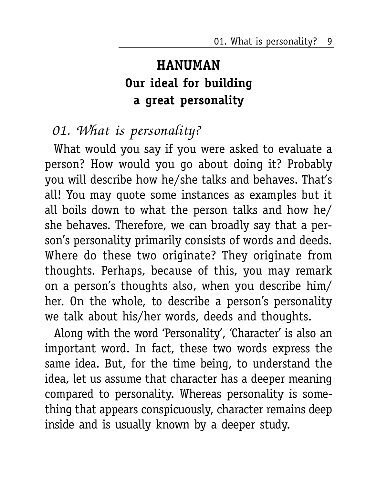01. What is personality? 9

# **HANUMAN Our ideal for building a great personality**

# 01. What is personality?

What would you say if you were asked to evaluate a person? How would you go about doing it? Probably you will describe how he/she talks and behaves. That's all! You may quote some instances as examples but it all boils down to what the person talks and how he/ she behaves. Therefore, we can broadly say that a person's personality primarily consists of words and deeds. Where do these two originate? They originate from thoughts. Perhaps, because of this, you may remark on a person's thoughts also, when you describe him/ her. On the whole, to describe a person's personality we talk about his/her words, deeds and thoughts.

Along with the word 'Personality', 'Character' is also an important word. In fact, these two words express the same idea. But, for the time being, to understand the idea, let us assume that character has a deeper meaning compared to personality. Whereas personality is something that appears conspicuously, character remains deep inside and is usually known by a deeper study.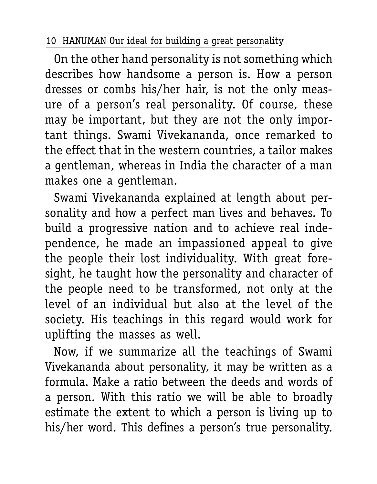On the other hand personality is not something which describes how handsome a person is. How a person dresses or combs his/her hair, is not the only measure of a person's real personality. Of course, these may be important, but they are not the only important things. Swami Vivekananda, once remarked to the effect that in the western countries, a tailor makes a gentleman, whereas in India the character of a man makes one a gentleman.

Swami Vivekananda explained at length about personality and how a perfect man lives and behaves. To build a progressive nation and to achieve real independence, he made an impassioned appeal to give the people their lost individuality. With great foresight, he taught how the personality and character of the people need to be transformed, not only at the level of an individual but also at the level of the society. His teachings in this regard would work for uplifting the masses as well.

Now, if we summarize all the teachings of Swami Vivekananda about personality, it may be written as a formula. Make a ratio between the deeds and words of a person. With this ratio we will be able to broadly estimate the extent to which a person is living up to his/her word. This defines a person's true personality.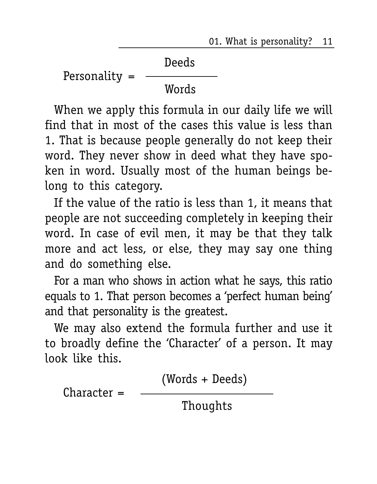01. What is personality? 11

 Deeds Personality =  $-$ Words

When we apply this formula in our daily life we will find that in most of the cases this value is less than 1. That is because people generally do not keep their word. They never show in deed what they have spoken in word. Usually most of the human beings belong to this category.

If the value of the ratio is less than 1, it means that people are not succeeding completely in keeping their word. In case of evil men, it may be that they talk more and act less, or else, they may say one thing and do something else.

For a man who shows in action what he says, this ratio equals to 1. That person becomes a 'perfect human being' and that personality is the greatest.

We may also extend the formula further and use it to broadly define the 'Character' of a person. It may look like this.

$$
Character = \frac{(Words + Deeds)}{Thoughts}
$$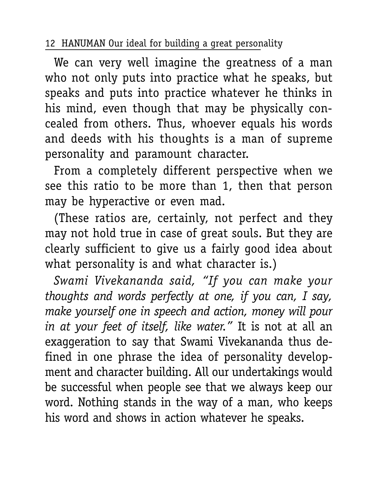We can very well imagine the greatness of a man who not only puts into practice what he speaks, but speaks and puts into practice whatever he thinks in his mind, even though that may be physically concealed from others. Thus, whoever equals his words and deeds with his thoughts is a man of supreme personality and paramount character.

From a completely different perspective when we see this ratio to be more than 1, then that person may be hyperactive or even mad.

(These ratios are, certainly, not perfect and they may not hold true in case of great souls. But they are clearly sufficient to give us a fairly good idea about what personality is and what character is.)

*Swami Vivekananda said, "If you can make your thoughts and words perfectly at one, if you can, I say, make yourself one in speech and action, money will pour in at your feet of itself, like water."* It is not at all an exaggeration to say that Swami Vivekananda thus defined in one phrase the idea of personality development and character building. All our undertakings would be successful when people see that we always keep our word. Nothing stands in the way of a man, who keeps his word and shows in action whatever he speaks.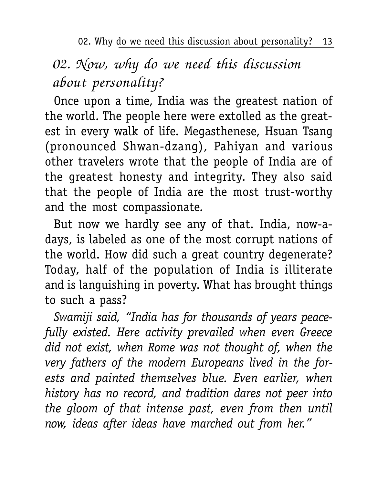02. Why do we need this discussion about personality? 13

# 02. Now, why do we need this discussion about personality?

Once upon a time, India was the greatest nation of the world. The people here were extolled as the greatest in every walk of life. Megasthenese, Hsuan Tsang (pronounced Shwan-dzang), Pahiyan and various other travelers wrote that the people of India are of the greatest honesty and integrity. They also said that the people of India are the most trust-worthy and the most compassionate.

But now we hardly see any of that. India, now-adays, is labeled as one of the most corrupt nations of the world. How did such a great country degenerate? Today, half of the population of India is illiterate and is languishing in poverty. What has brought things to such a pass?

*Swamiji said, "India has for thousands of years peacefully existed. Here activity prevailed when even Greece did not exist, when Rome was not thought of, when the very fathers of the modern Europeans lived in the forests and painted themselves blue. Even earlier, when history has no record, and tradition dares not peer into the gloom of that intense past, even from then until now, ideas after ideas have marched out from her."*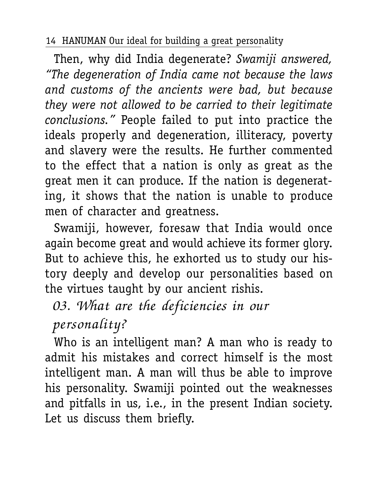Then, why did India degenerate? *Swamiji answered, "The degeneration of India came not because the laws and customs of the ancients were bad, but because they were not allowed to be carried to their legitimate conclusions."* People failed to put into practice the ideals properly and degeneration, illiteracy, poverty and slavery were the results. He further commented to the effect that a nation is only as great as the great men it can produce. If the nation is degenerating, it shows that the nation is unable to produce men of character and greatness.

Swamiji, however, foresaw that India would once again become great and would achieve its former glory. But to achieve this, he exhorted us to study our history deeply and develop our personalities based on the virtues taught by our ancient rishis.

03. What are the deficiencies in our

personality?

Who is an intelligent man? A man who is ready to admit his mistakes and correct himself is the most intelligent man. A man will thus be able to improve his personality. Swamiji pointed out the weaknesses and pitfalls in us, i.e., in the present Indian society. Let us discuss them briefly.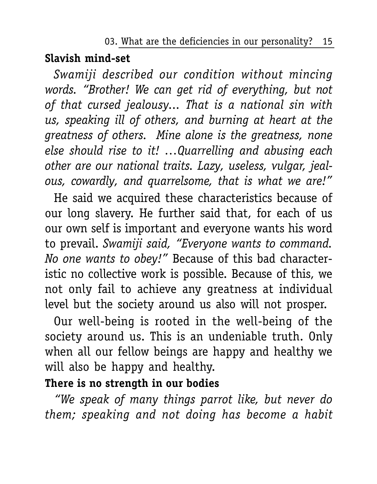#### 03. What are the deficiencies in our personality? 15

## **Slavish mind-set**

*Swamiji described our condition without mincing words. "Brother! We can get rid of everything, but not of that cursed jealousy... That is a national sin with us, speaking ill of others, and burning at heart at the greatness of others. Mine alone is the greatness, none else should rise to it! …Quarrelling and abusing each other are our national traits. Lazy, useless, vulgar, jealous, cowardly, and quarrelsome, that is what we are!"*

He said we acquired these characteristics because of our long slavery. He further said that, for each of us our own self is important and everyone wants his word to prevail. *Swamiji said, "Everyone wants to command. No one wants to obey!"* Because of this bad characteristic no collective work is possible. Because of this, we not only fail to achieve any greatness at individual level but the society around us also will not prosper.

Our well-being is rooted in the well-being of the society around us. This is an undeniable truth. Only when all our fellow beings are happy and healthy we will also be happy and healthy.

# **There is no strength in our bodies**

*"We speak of many things parrot like, but never do them; speaking and not doing has become a habit*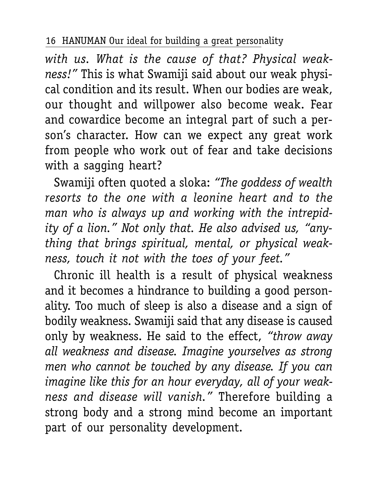*with us. What is the cause of that? Physical weakness!"* This is what Swamiji said about our weak physical condition and its result. When our bodies are weak, our thought and willpower also become weak. Fear and cowardice become an integral part of such a person's character. How can we expect any great work from people who work out of fear and take decisions with a sagging heart?

Swamiji often quoted a sloka: *"The goddess of wealth resorts to the one with a leonine heart and to the man who is always up and working with the intrepidity of a lion." Not only that. He also advised us, "anything that brings spiritual, mental, or physical weakness, touch it not with the toes of your feet."*

Chronic ill health is a result of physical weakness and it becomes a hindrance to building a good personality. Too much of sleep is also a disease and a sign of bodily weakness. Swamiji said that any disease is caused only by weakness. He said to the effect, *"throw away all weakness and disease. Imagine yourselves as strong men who cannot be touched by any disease. If you can imagine like this for an hour everyday, all of your weakness and disease will vanish."* Therefore building a strong body and a strong mind become an important part of our personality development.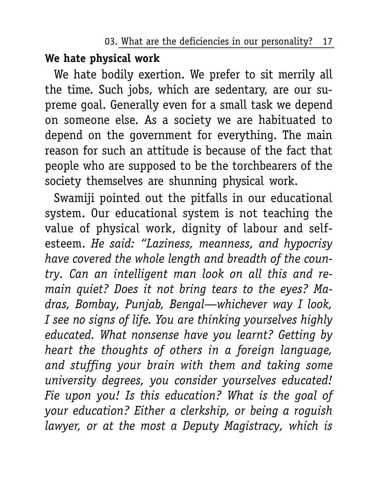03. What are the deficiencies in our personality? 17

## **We hate physical work**

We hate bodily exertion. We prefer to sit merrily all the time. Such jobs, which are sedentary, are our supreme goal. Generally even for a small task we depend on someone else. As a society we are habituated to depend on the government for everything. The main reason for such an attitude is because of the fact that people who are supposed to be the torchbearers of the society themselves are shunning physical work.

Swamiji pointed out the pitfalls in our educational system. Our educational system is not teaching the value of physical work, dignity of labour and selfesteem. *He said: "Laziness, meanness, and hypocrisy have covered the whole length and breadth of the country. Can an intelligent man look on all this and remain quiet? Does it not bring tears to the eyes? Madras, Bombay, Punjab, Bengal—whichever way I look, I see no signs of life. You are thinking yourselves highly educated. What nonsense have you learnt? Getting by heart the thoughts of others in a foreign language, and stuffing your brain with them and taking some university degrees, you consider yourselves educated! Fie upon you! Is this education? What is the goal of your education? Either a clerkship, or being a roguish lawyer, or at the most a Deputy Magistracy, which is*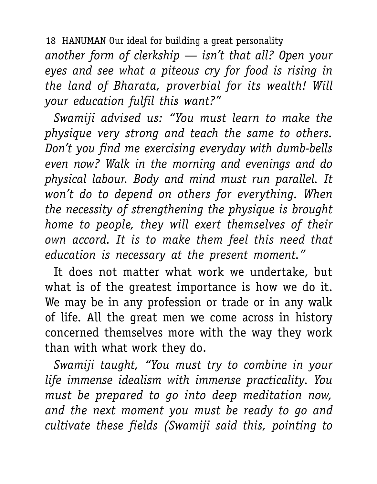*another form of clerkship — isn't that all? Open your eyes and see what a piteous cry for food is rising in the land of Bharata, proverbial for its wealth! Will your education fulfil this want?"*

*Swamiji advised us: "You must learn to make the physique very strong and teach the same to others. Don't you find me exercising everyday with dumb-bells even now? Walk in the morning and evenings and do physical labour. Body and mind must run parallel. It won't do to depend on others for everything. When the necessity of strengthening the physique is brought home to people, they will exert themselves of their own accord. It is to make them feel this need that education is necessary at the present moment."*

It does not matter what work we undertake, but what is of the greatest importance is how we do it. We may be in any profession or trade or in any walk of life. All the great men we come across in history concerned themselves more with the way they work than with what work they do.

*Swamiji taught, "You must try to combine in your life immense idealism with immense practicality. You must be prepared to go into deep meditation now, and the next moment you must be ready to go and cultivate these fields (Swamiji said this, pointing to*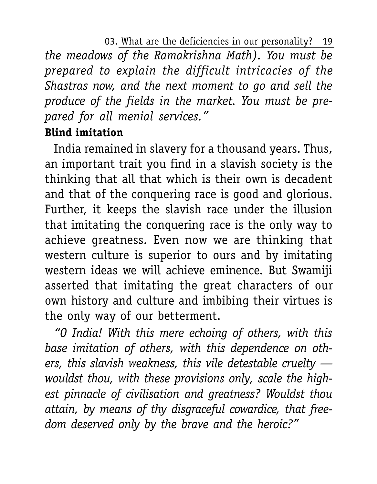03. What are the deficiencies in our personality? 19 *the meadows of the Ramakrishna Math). You must be prepared to explain the difficult intricacies of the Shastras now, and the next moment to go and sell the produce of the fields in the market. You must be prepared for all menial services."*

## **Blind imitation**

India remained in slavery for a thousand years. Thus, an important trait you find in a slavish society is the thinking that all that which is their own is decadent and that of the conquering race is good and glorious. Further, it keeps the slavish race under the illusion that imitating the conquering race is the only way to achieve greatness. Even now we are thinking that western culture is superior to ours and by imitating western ideas we will achieve eminence. But Swamiji asserted that imitating the great characters of our own history and culture and imbibing their virtues is the only way of our betterment.

*"O India! With this mere echoing of others, with this base imitation of others, with this dependence on others, this slavish weakness, this vile detestable cruelty wouldst thou, with these provisions only, scale the highest pinnacle of civilisation and greatness? Wouldst thou attain, by means of thy disgraceful cowardice, that freedom deserved only by the brave and the heroic?"*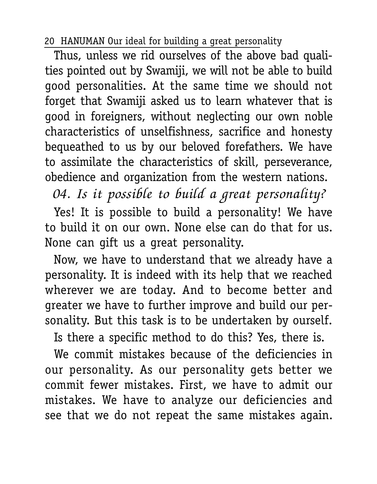Thus, unless we rid ourselves of the above bad qualities pointed out by Swamiji, we will not be able to build good personalities. At the same time we should not forget that Swamiji asked us to learn whatever that is good in foreigners, without neglecting our own noble characteristics of unselfishness, sacrifice and honesty bequeathed to us by our beloved forefathers. We have to assimilate the characteristics of skill, perseverance, obedience and organization from the western nations.

04. Is it possible to build a great personality?

Yes! It is possible to build a personality! We have to build it on our own. None else can do that for us. None can gift us a great personality.

Now, we have to understand that we already have a personality. It is indeed with its help that we reached wherever we are today. And to become better and greater we have to further improve and build our personality. But this task is to be undertaken by ourself.

Is there a specific method to do this? Yes, there is.

We commit mistakes because of the deficiencies in our personality. As our personality gets better we commit fewer mistakes. First, we have to admit our mistakes. We have to analyze our deficiencies and see that we do not repeat the same mistakes again.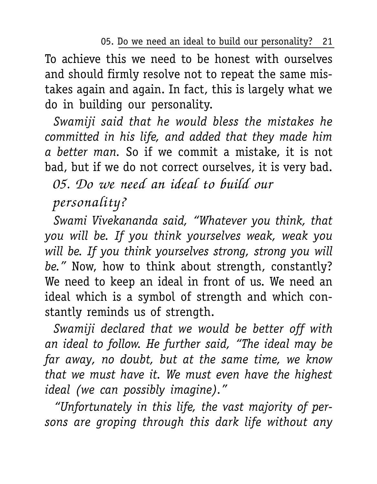05. Do we need an ideal to build our personality? 21

To achieve this we need to be honest with ourselves and should firmly resolve not to repeat the same mistakes again and again. In fact, this is largely what we do in building our personality.

*Swamiji said that he would bless the mistakes he committed in his life, and added that they made him a better man.* So if we commit a mistake, it is not bad, but if we do not correct ourselves, it is very bad.

05. Do we need an ideal to build our

## personality?

*Swami Vivekananda said, "Whatever you think, that you will be. If you think yourselves weak, weak you will be. If you think yourselves strong, strong you will be."* Now, how to think about strength, constantly? We need to keep an ideal in front of us. We need an ideal which is a symbol of strength and which constantly reminds us of strength.

*Swamiji declared that we would be better off with an ideal to follow. He further said, "The ideal may be far away, no doubt, but at the same time, we know that we must have it. We must even have the highest ideal (we can possibly imagine)."*

*"Unfortunately in this life, the vast majority of persons are groping through this dark life without any*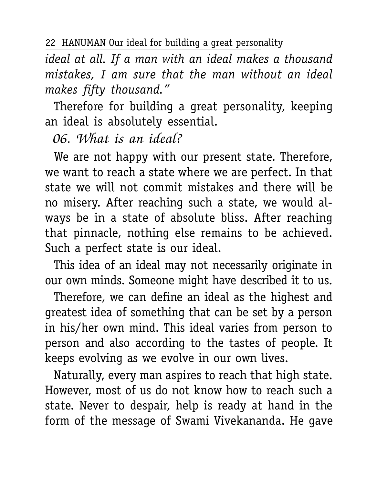22 HANUMAN Our ideal for building a great personality

*ideal at all. If a man with an ideal makes a thousand mistakes, I am sure that the man without an ideal makes fifty thousand."*

Therefore for building a great personality, keeping an ideal is absolutely essential.

06. What is an ideal?

We are not happy with our present state. Therefore, we want to reach a state where we are perfect. In that state we will not commit mistakes and there will be no misery. After reaching such a state, we would always be in a state of absolute bliss. After reaching that pinnacle, nothing else remains to be achieved. Such a perfect state is our ideal.

This idea of an ideal may not necessarily originate in our own minds. Someone might have described it to us.

Therefore, we can define an ideal as the highest and greatest idea of something that can be set by a person in his/her own mind. This ideal varies from person to person and also according to the tastes of people. It keeps evolving as we evolve in our own lives.

Naturally, every man aspires to reach that high state. However, most of us do not know how to reach such a state. Never to despair, help is ready at hand in the form of the message of Swami Vivekananda. He gave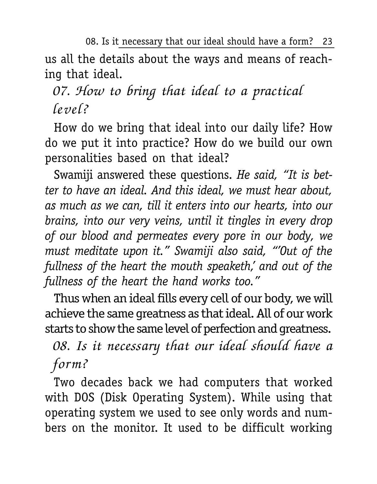08. Is it necessary that our ideal should have a form? 23 us all the details about the ways and means of reaching that ideal.

# 07. How to bring that ideal to a practical level?

How do we bring that ideal into our daily life? How do we put it into practice? How do we build our own personalities based on that ideal?

Swamiji answered these questions. *He said, "It is better to have an ideal. And this ideal, we must hear about, as much as we can, till it enters into our hearts, into our brains, into our very veins, until it tingles in every drop of our blood and permeates every pore in our body, we must meditate upon it." Swamiji also said, "'Out of the fullness of the heart the mouth speaketh,' and out of the fullness of the heart the hand works too."*

Thus when an ideal fills every cell of our body, we will achieve the same greatness as that ideal. All of our work starts to show the same level of perfection and greatness.

08. Is it necessary that our ideal should have a form?

Two decades back we had computers that worked with DOS (Disk Operating System). While using that operating system we used to see only words and numbers on the monitor. It used to be difficult working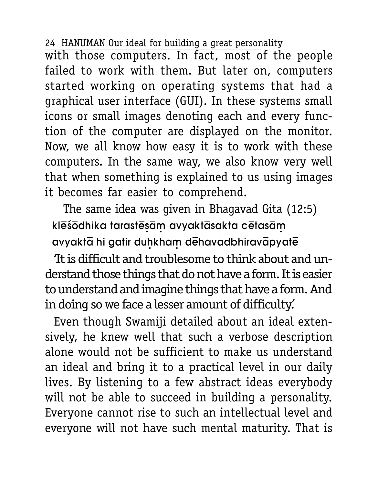with those computers. In fact, most of the people failed to work with them. But later on, computers started working on operating systems that had a graphical user interface (GUI). In these systems small icons or small images denoting each and every function of the computer are displayed on the monitor. Now, we all know how easy it is to work with these computers. In the same way, we also know very well that when something is explained to us using images it becomes far easier to comprehend.

The same idea was given in Bhagavad Gita (12:5) klēśōdhika tarastēsām avyaktāsakta cētasām avyakta hi gatir duhkham dehavadbhiravapyate

'It is difficult and troublesome to think about and understand those things that do not have a form. It is easier to understand and imagine things that have a form. And in doing so we face a lesser amount of difficulty.'

Even though Swamiji detailed about an ideal extensively, he knew well that such a verbose description alone would not be sufficient to make us understand an ideal and bring it to a practical level in our daily lives. By listening to a few abstract ideas everybody will not be able to succeed in building a personality. Everyone cannot rise to such an intellectual level and everyone will not have such mental maturity. That is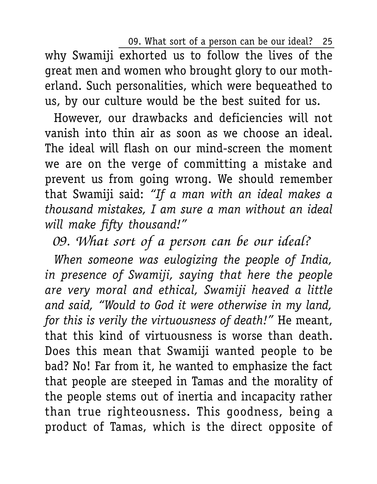09. What sort of a person can be our ideal? 25

why Swamiji exhorted us to follow the lives of the great men and women who brought glory to our motherland. Such personalities, which were bequeathed to us, by our culture would be the best suited for us.

However, our drawbacks and deficiencies will not vanish into thin air as soon as we choose an ideal. The ideal will flash on our mind-screen the moment we are on the verge of committing a mistake and prevent us from going wrong. We should remember that Swamiji said: *"If a man with an ideal makes a thousand mistakes, I am sure a man without an ideal will make fifty thousand!"*

# 09. What sort of a person can be our ideal?

*When someone was eulogizing the people of India, in presence of Swamiji, saying that here the people are very moral and ethical, Swamiji heaved a little and said, "Would to God it were otherwise in my land, for this is verily the virtuousness of death!"* He meant, that this kind of virtuousness is worse than death. Does this mean that Swamiji wanted people to be bad? No! Far from it, he wanted to emphasize the fact that people are steeped in Tamas and the morality of the people stems out of inertia and incapacity rather than true righteousness. This goodness, being a product of Tamas, which is the direct opposite of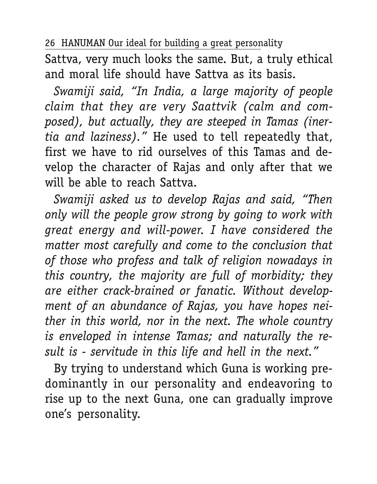Sattva, very much looks the same. But, a truly ethical and moral life should have Sattva as its basis.

*Swamiji said, "In India, a large majority of people claim that they are very Saattvik (calm and composed), but actually, they are steeped in Tamas (inertia and laziness)."* He used to tell repeatedly that, first we have to rid ourselves of this Tamas and develop the character of Rajas and only after that we will be able to reach Sattva.

*Swamiji asked us to develop Rajas and said, "Then only will the people grow strong by going to work with great energy and will-power. I have considered the matter most carefully and come to the conclusion that of those who profess and talk of religion nowadays in this country, the majority are full of morbidity; they are either crack-brained or fanatic. Without development of an abundance of Rajas, you have hopes neither in this world, nor in the next. The whole country is enveloped in intense Tamas; and naturally the result is - servitude in this life and hell in the next."*

By trying to understand which Guna is working predominantly in our personality and endeavoring to rise up to the next Guna, one can gradually improve one's personality.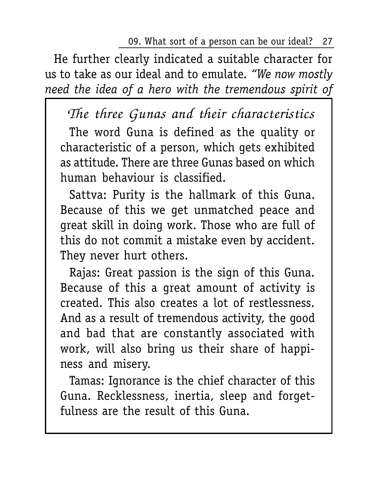09. What sort of a person can be our ideal? 27

He further clearly indicated a suitable character for us to take as our ideal and to emulate. *"We now mostly need the idea of a hero with the tremendous spirit of*

The three Gunas and their characteristics

The word Guna is defined as the quality or characteristic of a person, which gets exhibited as attitude. There are three Gunas based on which human behaviour is classified.

Sattva: Purity is the hallmark of this Guna. Because of this we get unmatched peace and great skill in doing work. Those who are full of this do not commit a mistake even by accident. They never hurt others.

Rajas: Great passion is the sign of this Guna. Because of this a great amount of activity is created. This also creates a lot of restlessness. And as a result of tremendous activity, the good and bad that are constantly associated with work, will also bring us their share of happiness and misery.

Tamas: Ignorance is the chief character of this Guna. Recklessness, inertia, sleep and forgetfulness are the result of this Guna.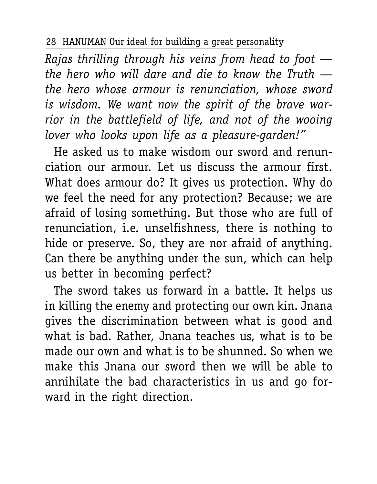*Rajas thrilling through his veins from head to foot the hero who will dare and die to know the Truth the hero whose armour is renunciation, whose sword is wisdom. We want now the spirit of the brave warrior in the battlefield of life, and not of the wooing lover who looks upon life as a pleasure-garden!"*

He asked us to make wisdom our sword and renunciation our armour. Let us discuss the armour first. What does armour do? It gives us protection. Why do we feel the need for any protection? Because; we are afraid of losing something. But those who are full of renunciation, i.e. unselfishness, there is nothing to hide or preserve. So, they are nor afraid of anything. Can there be anything under the sun, which can help us better in becoming perfect?

The sword takes us forward in a battle. It helps us in killing the enemy and protecting our own kin. Jnana gives the discrimination between what is good and what is bad. Rather, Jnana teaches us, what is to be made our own and what is to be shunned. So when we make this Jnana our sword then we will be able to annihilate the bad characteristics in us and go forward in the right direction.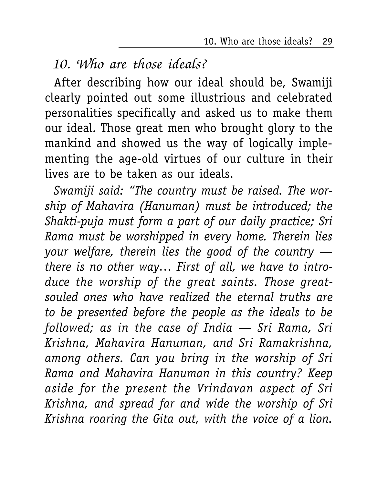10. Who are those ideals? 29

10. Who are those ideals?

After describing how our ideal should be, Swamiji clearly pointed out some illustrious and celebrated personalities specifically and asked us to make them our ideal. Those great men who brought glory to the mankind and showed us the way of logically implementing the age-old virtues of our culture in their lives are to be taken as our ideals.

*Swamiji said: "The country must be raised. The worship of Mahavira (Hanuman) must be introduced; the Shakti-puja must form a part of our daily practice; Sri Rama must be worshipped in every home. Therein lies your welfare, therein lies the good of the country there is no other way… First of all, we have to introduce the worship of the great saints. Those greatsouled ones who have realized the eternal truths are to be presented before the people as the ideals to be followed; as in the case of India — Sri Rama, Sri Krishna, Mahavira Hanuman, and Sri Ramakrishna, among others. Can you bring in the worship of Sri Rama and Mahavira Hanuman in this country? Keep aside for the present the Vrindavan aspect of Sri Krishna, and spread far and wide the worship of Sri Krishna roaring the Gita out, with the voice of a lion.*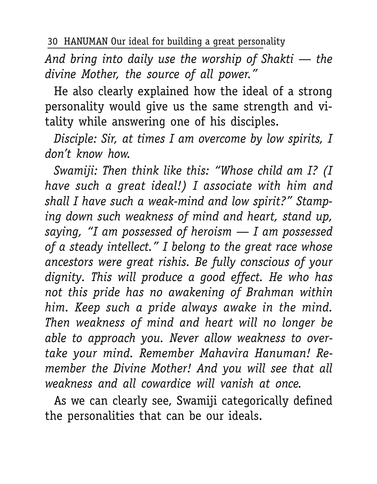*And bring into daily use the worship of Shakti — the divine Mother, the source of all power."*

He also clearly explained how the ideal of a strong personality would give us the same strength and vitality while answering one of his disciples.

*Disciple: Sir, at times I am overcome by low spirits, I don't know how.*

*Swamiji: Then think like this: "Whose child am I? (I have such a great ideal!) I associate with him and shall I have such a weak-mind and low spirit?" Stamping down such weakness of mind and heart, stand up, saying, "I am possessed of heroism — I am possessed of a steady intellect." I belong to the great race whose ancestors were great rishis. Be fully conscious of your dignity. This will produce a good effect. He who has not this pride has no awakening of Brahman within him. Keep such a pride always awake in the mind. Then weakness of mind and heart will no longer be able to approach you. Never allow weakness to overtake your mind. Remember Mahavira Hanuman! Remember the Divine Mother! And you will see that all weakness and all cowardice will vanish at once.*

As we can clearly see, Swamiji categorically defined the personalities that can be our ideals.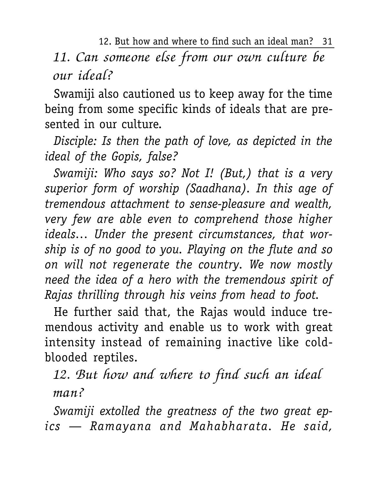12. But how and where to find such an ideal man? 31 11. Can someone else from our own culture be our ideal?

Swamiji also cautioned us to keep away for the time being from some specific kinds of ideals that are presented in our culture.

*Disciple: Is then the path of love, as depicted in the ideal of the Gopis, false?*

*Swamiji: Who says so? Not I! (But,) that is a very superior form of worship (Saadhana). In this age of tremendous attachment to sense-pleasure and wealth, very few are able even to comprehend those higher ideals… Under the present circumstances, that worship is of no good to you. Playing on the flute and so on will not regenerate the country. We now mostly need the idea of a hero with the tremendous spirit of Rajas thrilling through his veins from head to foot.*

He further said that, the Rajas would induce tremendous activity and enable us to work with great intensity instead of remaining inactive like coldblooded reptiles.

12. But how and where to find such an ideal man?

*Swamiji extolled the greatness of the two great epics — Ramayana and Mahabharata. He said,*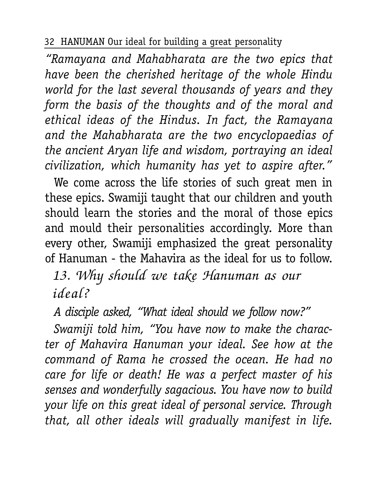*"Ramayana and Mahabharata are the two epics that have been the cherished heritage of the whole Hindu world for the last several thousands of years and they form the basis of the thoughts and of the moral and ethical ideas of the Hindus. In fact, the Ramayana and the Mahabharata are the two encyclopaedias of the ancient Aryan life and wisdom, portraying an ideal civilization, which humanity has yet to aspire after."*

We come across the life stories of such great men in these epics. Swamiji taught that our children and youth should learn the stories and the moral of those epics and mould their personalities accordingly. More than every other, Swamiji emphasized the great personality of Hanuman - the Mahavira as the ideal for us to follow.

13. Why should we take Hanuman as our ideal?

*A disciple asked, "What ideal should we follow now?"*

*Swamiji told him, "You have now to make the character of Mahavira Hanuman your ideal. See how at the command of Rama he crossed the ocean. He had no care for life or death! He was a perfect master of his senses and wonderfully sagacious. You have now to build your life on this great ideal of personal service. Through that, all other ideals will gradually manifest in life.*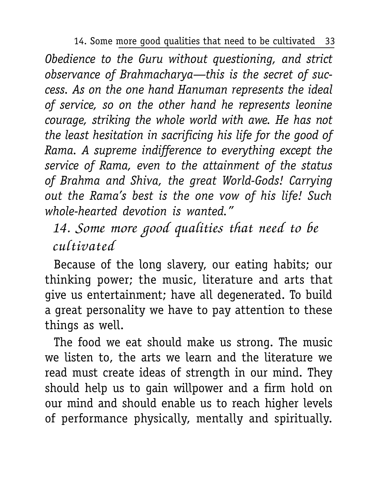14. Some more good qualities that need to be cultivated 33

*Obedience to the Guru without questioning, and strict observance of Brahmacharya—this is the secret of success. As on the one hand Hanuman represents the ideal of service, so on the other hand he represents leonine courage, striking the whole world with awe. He has not the least hesitation in sacrificing his life for the good of Rama. A supreme indifference to everything except the service of Rama, even to the attainment of the status of Brahma and Shiva, the great World-Gods! Carrying out the Rama's best is the one vow of his life! Such whole-hearted devotion is wanted."*

# 14. Some more good qualities that need to be cultivated

Because of the long slavery, our eating habits; our thinking power; the music, literature and arts that give us entertainment; have all degenerated. To build a great personality we have to pay attention to these things as well.

The food we eat should make us strong. The music we listen to, the arts we learn and the literature we read must create ideas of strength in our mind. They should help us to gain willpower and a firm hold on our mind and should enable us to reach higher levels of performance physically, mentally and spiritually.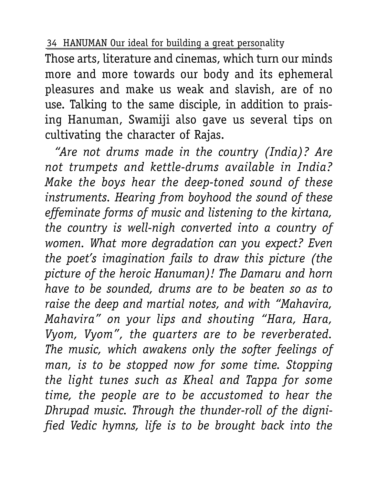Those arts, literature and cinemas, which turn our minds more and more towards our body and its ephemeral pleasures and make us weak and slavish, are of no use. Talking to the same disciple, in addition to praising Hanuman, Swamiji also gave us several tips on cultivating the character of Rajas.

*"Are not drums made in the country (India)? Are not trumpets and kettle-drums available in India? Make the boys hear the deep-toned sound of these instruments. Hearing from boyhood the sound of these effeminate forms of music and listening to the kirtana, the country is well-nigh converted into a country of women. What more degradation can you expect? Even the poet's imagination fails to draw this picture (the picture of the heroic Hanuman)! The Damaru and horn have to be sounded, drums are to be beaten so as to raise the deep and martial notes, and with "Mahavira, Mahavira" on your lips and shouting "Hara, Hara, Vyom, Vyom", the quarters are to be reverberated. The music, which awakens only the softer feelings of man, is to be stopped now for some time. Stopping the light tunes such as Kheal and Tappa for some time, the people are to be accustomed to hear the Dhrupad music. Through the thunder-roll of the dignified Vedic hymns, life is to be brought back into the*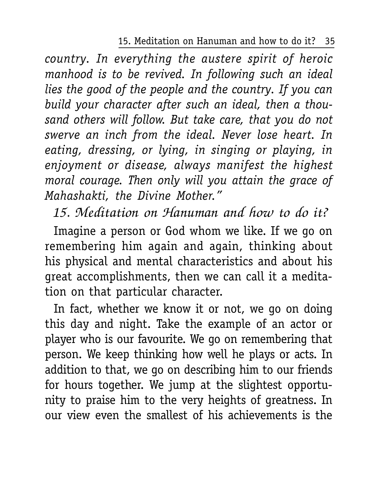#### 15. Meditation on Hanuman and how to do it? 35

*country. In everything the austere spirit of heroic manhood is to be revived. In following such an ideal lies the good of the people and the country. If you can build your character after such an ideal, then a thousand others will follow. But take care, that you do not swerve an inch from the ideal. Never lose heart. In eating, dressing, or lying, in singing or playing, in enjoyment or disease, always manifest the highest moral courage. Then only will you attain the grace of Mahashakti, the Divine Mother."*

# 15. Meditation on Hanuman and how to do it?

Imagine a person or God whom we like. If we go on remembering him again and again, thinking about his physical and mental characteristics and about his great accomplishments, then we can call it a meditation on that particular character.

In fact, whether we know it or not, we go on doing this day and night. Take the example of an actor or player who is our favourite. We go on remembering that person. We keep thinking how well he plays or acts. In addition to that, we go on describing him to our friends for hours together. We jump at the slightest opportunity to praise him to the very heights of greatness. In our view even the smallest of his achievements is the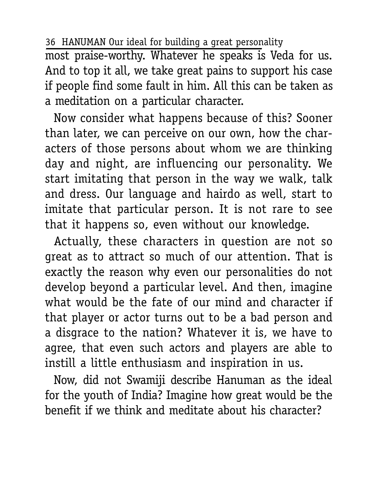most praise-worthy. Whatever he speaks is Veda for us. And to top it all, we take great pains to support his case if people find some fault in him. All this can be taken as a meditation on a particular character.

Now consider what happens because of this? Sooner than later, we can perceive on our own, how the characters of those persons about whom we are thinking day and night, are influencing our personality. We start imitating that person in the way we walk, talk and dress. Our language and hairdo as well, start to imitate that particular person. It is not rare to see that it happens so, even without our knowledge.

Actually, these characters in question are not so great as to attract so much of our attention. That is exactly the reason why even our personalities do not develop beyond a particular level. And then, imagine what would be the fate of our mind and character if that player or actor turns out to be a bad person and a disgrace to the nation? Whatever it is, we have to agree, that even such actors and players are able to instill a little enthusiasm and inspiration in us.

Now, did not Swamiji describe Hanuman as the ideal for the youth of India? Imagine how great would be the benefit if we think and meditate about his character?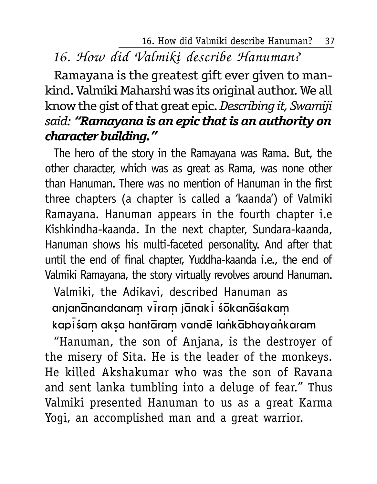16. How did Valmiki describe Hanuman? 37

## 16. How did Valmiki describe Hanuman?

Ramayana is the greatest gift ever given to mankind. Valmiki Maharshi was its original author. We all know the gist of that great epic. *Describing it, Swamiji said: "Ramayana is an epic that is an authority on character building."*

The hero of the story in the Ramayana was Rama. But, the other character, which was as great as Rama, was none other than Hanuman. There was no mention of Hanuman in the first three chapters (a chapter is called a 'kaanda') of Valmiki Ramayana. Hanuman appears in the fourth chapter i.e Kishkindha-kaanda. In the next chapter, Sundara-kaanda, Hanuman shows his multi-faceted personality. And after that until the end of final chapter, Yuddha-kaanda i.e., the end of Valmiki Ramayana, the story virtually revolves around Hanuman.

Valmiki, the Adikavi, described Hanuman as anjanānandanam viram jānaki śōkanāśakam kapisam aksa hantaram vande lankabhayankaram

"Hanuman, the son of Anjana, is the destroyer of the misery of Sita. He is the leader of the monkeys. He killed Akshakumar who was the son of Ravana and sent lanka tumbling into a deluge of fear." Thus Valmiki presented Hanuman to us as a great Karma Yogi, an accomplished man and a great warrior.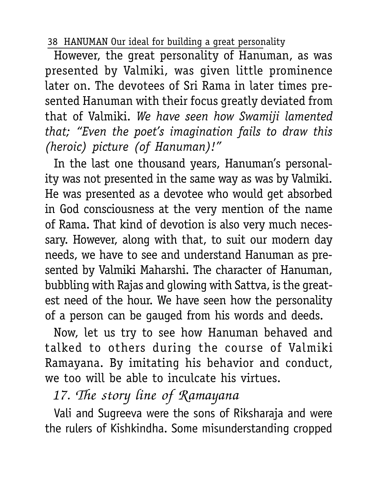However, the great personality of Hanuman, as was presented by Valmiki, was given little prominence later on. The devotees of Sri Rama in later times presented Hanuman with their focus greatly deviated from that of Valmiki. *We have seen how Swamiji lamented that; "Even the poet's imagination fails to draw this (heroic) picture (of Hanuman)!"*

In the last one thousand years, Hanuman's personality was not presented in the same way as was by Valmiki. He was presented as a devotee who would get absorbed in God consciousness at the very mention of the name of Rama. That kind of devotion is also very much necessary. However, along with that, to suit our modern day needs, we have to see and understand Hanuman as presented by Valmiki Maharshi. The character of Hanuman, bubbling with Rajas and glowing with Sattva, is the greatest need of the hour. We have seen how the personality of a person can be gauged from his words and deeds.

Now, let us try to see how Hanuman behaved and talked to others during the course of Valmiki Ramayana. By imitating his behavior and conduct, we too will be able to inculcate his virtues.

17. The story line of Ramayana

Vali and Sugreeva were the sons of Riksharaja and were the rulers of Kishkindha. Some misunderstanding cropped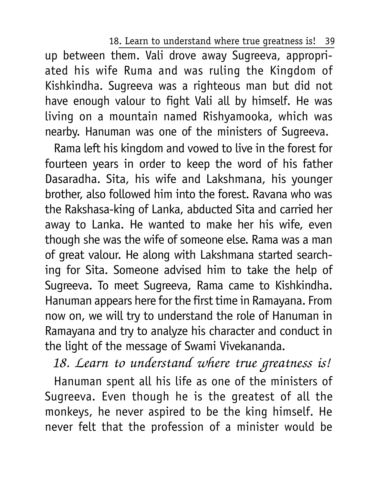18. Learn to understand where true greatness is! 39

up between them. Vali drove away Sugreeva, appropriated his wife Ruma and was ruling the Kingdom of Kishkindha. Sugreeva was a righteous man but did not have enough valour to fight Vali all by himself. He was living on a mountain named Rishyamooka, which was nearby. Hanuman was one of the ministers of Sugreeva.

Rama left his kingdom and vowed to live in the forest for fourteen years in order to keep the word of his father Dasaradha. Sita, his wife and Lakshmana, his younger brother, also followed him into the forest. Ravana who was the Rakshasa-king of Lanka, abducted Sita and carried her away to Lanka. He wanted to make her his wife, even though she was the wife of someone else. Rama was a man of great valour. He along with Lakshmana started searching for Sita. Someone advised him to take the help of Sugreeva. To meet Sugreeva, Rama came to Kishkindha. Hanuman appears here for the first time in Ramayana. From now on, we will try to understand the role of Hanuman in Ramayana and try to analyze his character and conduct in the light of the message of Swami Vivekananda.

18. Learn to understand where true greatness is! Hanuman spent all his life as one of the ministers of Sugreeva. Even though he is the greatest of all the monkeys, he never aspired to be the king himself. He never felt that the profession of a minister would be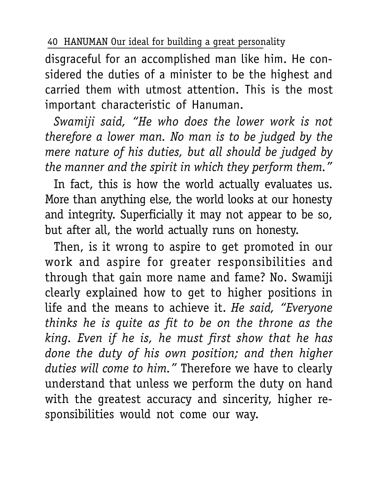disgraceful for an accomplished man like him. He considered the duties of a minister to be the highest and carried them with utmost attention. This is the most important characteristic of Hanuman.

*Swamiji said, "He who does the lower work is not therefore a lower man. No man is to be judged by the mere nature of his duties, but all should be judged by the manner and the spirit in which they perform them."*

In fact, this is how the world actually evaluates us. More than anything else, the world looks at our honesty and integrity. Superficially it may not appear to be so, but after all, the world actually runs on honesty.

Then, is it wrong to aspire to get promoted in our work and aspire for greater responsibilities and through that gain more name and fame? No. Swamiji clearly explained how to get to higher positions in life and the means to achieve it. *He said, "Everyone thinks he is quite as fit to be on the throne as the king. Even if he is, he must first show that he has done the duty of his own position; and then higher duties will come to him."* Therefore we have to clearly understand that unless we perform the duty on hand with the greatest accuracy and sincerity, higher responsibilities would not come our way.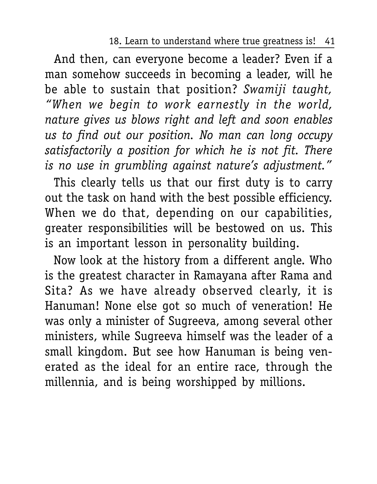18. Learn to understand where true greatness is! 41

And then, can everyone become a leader? Even if a man somehow succeeds in becoming a leader, will he be able to sustain that position? *Swamiji taught, "When we begin to work earnestly in the world, nature gives us blows right and left and soon enables us to find out our position. No man can long occupy satisfactorily a position for which he is not fit. There is no use in grumbling against nature's adjustment."*

This clearly tells us that our first duty is to carry out the task on hand with the best possible efficiency. When we do that, depending on our capabilities, greater responsibilities will be bestowed on us. This is an important lesson in personality building.

Now look at the history from a different angle. Who is the greatest character in Ramayana after Rama and Sita? As we have already observed clearly, it is Hanuman! None else got so much of veneration! He was only a minister of Sugreeva, among several other ministers, while Sugreeva himself was the leader of a small kingdom. But see how Hanuman is being venerated as the ideal for an entire race, through the millennia, and is being worshipped by millions.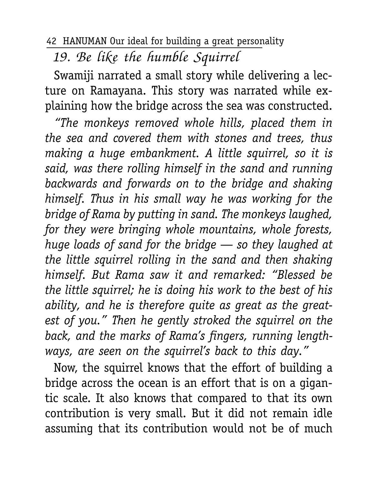19. Be like the humble Squirrel

Swamiji narrated a small story while delivering a lecture on Ramayana. This story was narrated while explaining how the bridge across the sea was constructed.

*"The monkeys removed whole hills, placed them in the sea and covered them with stones and trees, thus making a huge embankment. A little squirrel, so it is said, was there rolling himself in the sand and running backwards and forwards on to the bridge and shaking himself. Thus in his small way he was working for the bridge of Rama by putting in sand. The monkeys laughed, for they were bringing whole mountains, whole forests, huge loads of sand for the bridge — so they laughed at the little squirrel rolling in the sand and then shaking himself. But Rama saw it and remarked: "Blessed be the little squirrel; he is doing his work to the best of his ability, and he is therefore quite as great as the greatest of you." Then he gently stroked the squirrel on the back, and the marks of Rama's fingers, running lengthways, are seen on the squirrel's back to this day."*

Now, the squirrel knows that the effort of building a bridge across the ocean is an effort that is on a gigantic scale. It also knows that compared to that its own contribution is very small. But it did not remain idle assuming that its contribution would not be of much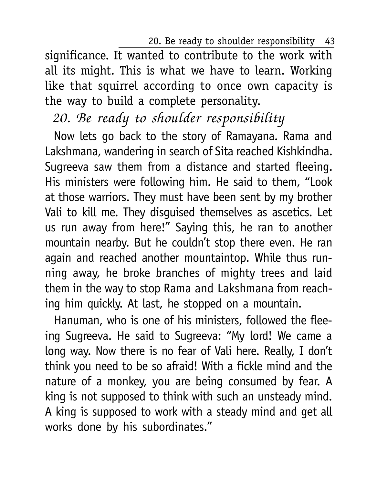20. Be ready to shoulder responsibility 43

significance. It wanted to contribute to the work with all its might. This is what we have to learn. Working like that squirrel according to once own capacity is the way to build a complete personality.

## 20. Be ready to shoulder responsibility

Now lets go back to the story of Ramayana. Rama and Lakshmana, wandering in search of Sita reached Kishkindha. Sugreeva saw them from a distance and started fleeing. His ministers were following him. He said to them, "Look at those warriors. They must have been sent by my brother Vali to kill me. They disguised themselves as ascetics. Let us run away from here!" Saying this, he ran to another mountain nearby. But he couldn't stop there even. He ran again and reached another mountaintop. While thus running away, he broke branches of mighty trees and laid them in the way to stop Rama and Lakshmana from reaching him quickly. At last, he stopped on a mountain.

Hanuman, who is one of his ministers, followed the fleeing Sugreeva. He said to Sugreeva: "My lord! We came a long way. Now there is no fear of Vali here. Really, I don't think you need to be so afraid! With a fickle mind and the nature of a monkey, you are being consumed by fear. A king is not supposed to think with such an unsteady mind. A king is supposed to work with a steady mind and get all works done by his subordinates."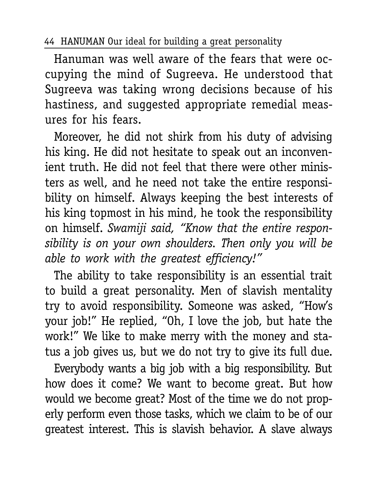Hanuman was well aware of the fears that were occupying the mind of Sugreeva. He understood that Sugreeva was taking wrong decisions because of his hastiness, and suggested appropriate remedial measures for his fears.

Moreover, he did not shirk from his duty of advising his king. He did not hesitate to speak out an inconvenient truth. He did not feel that there were other ministers as well, and he need not take the entire responsibility on himself. Always keeping the best interests of his king topmost in his mind, he took the responsibility on himself. *Swamiji said, "Know that the entire responsibility is on your own shoulders. Then only you will be able to work with the greatest efficiency!"*

The ability to take responsibility is an essential trait to build a great personality. Men of slavish mentality try to avoid responsibility. Someone was asked, "How's your job!" He replied, "Oh, I love the job, but hate the work!" We like to make merry with the money and status a job gives us, but we do not try to give its full due.

Everybody wants a big job with a big responsibility. But how does it come? We want to become great. But how would we become great? Most of the time we do not properly perform even those tasks, which we claim to be of our greatest interest. This is slavish behavior. A slave always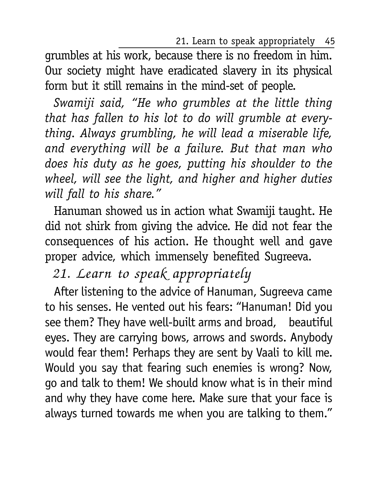21. Learn to speak appropriately 45

grumbles at his work, because there is no freedom in him. Our society might have eradicated slavery in its physical form but it still remains in the mind-set of people.

*Swamiji said, "He who grumbles at the little thing that has fallen to his lot to do will grumble at everything. Always grumbling, he will lead a miserable life, and everything will be a failure. But that man who does his duty as he goes, putting his shoulder to the wheel, will see the light, and higher and higher duties will fall to his share."*

Hanuman showed us in action what Swamiji taught. He did not shirk from giving the advice. He did not fear the consequences of his action. He thought well and gave proper advice, which immensely benefited Sugreeva.

21. Learn to speak appropriately

After listening to the advice of Hanuman, Sugreeva came to his senses. He vented out his fears: "Hanuman! Did you see them? They have well-built arms and broad, beautiful eyes. They are carrying bows, arrows and swords. Anybody would fear them! Perhaps they are sent by Vaali to kill me. Would you say that fearing such enemies is wrong? Now, go and talk to them! We should know what is in their mind and why they have come here. Make sure that your face is always turned towards me when you are talking to them."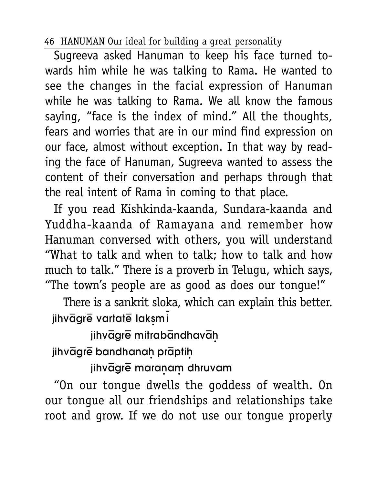Sugreeva asked Hanuman to keep his face turned towards him while he was talking to Rama. He wanted to see the changes in the facial expression of Hanuman while he was talking to Rama. We all know the famous saying, "face is the index of mind." All the thoughts, fears and worries that are in our mind find expression on our face, almost without exception. In that way by reading the face of Hanuman, Sugreeva wanted to assess the content of their conversation and perhaps through that the real intent of Rama in coming to that place.

If you read Kishkinda-kaanda, Sundara-kaanda and Yuddha-kaanda of Ramayana and remember how Hanuman conversed with others, you will understand "What to talk and when to talk; how to talk and how much to talk." There is a proverb in Telugu, which says, "The town's people are as good as does our tongue!"

There is a sankrit sloka, which can explain this better. jihvāgrē vartatē laksmi

jihvāgrē mitrabāndhavāh jihvāgrē bandhanah prāptih

jihvāgrē maraņam dhruvam

"On our tongue dwells the goddess of wealth. On our tongue all our friendships and relationships take root and grow. If we do not use our tongue properly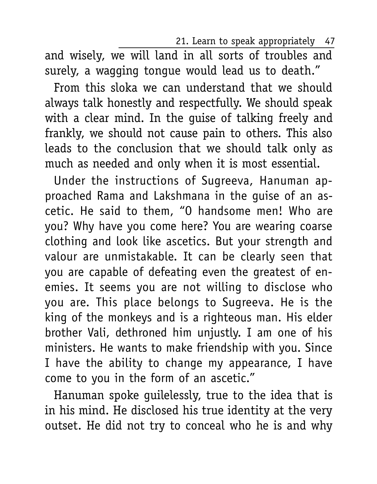21. Learn to speak appropriately 47

and wisely, we will land in all sorts of troubles and surely, a wagging tongue would lead us to death."

From this sloka we can understand that we should always talk honestly and respectfully. We should speak with a clear mind. In the guise of talking freely and frankly, we should not cause pain to others. This also leads to the conclusion that we should talk only as much as needed and only when it is most essential.

Under the instructions of Sugreeva, Hanuman approached Rama and Lakshmana in the guise of an ascetic. He said to them, "O handsome men! Who are you? Why have you come here? You are wearing coarse clothing and look like ascetics. But your strength and valour are unmistakable. It can be clearly seen that you are capable of defeating even the greatest of enemies. It seems you are not willing to disclose who you are. This place belongs to Sugreeva. He is the king of the monkeys and is a righteous man. His elder brother Vali, dethroned him unjustly. I am one of his ministers. He wants to make friendship with you. Since I have the ability to change my appearance, I have come to you in the form of an ascetic."

Hanuman spoke guilelessly, true to the idea that is in his mind. He disclosed his true identity at the very outset. He did not try to conceal who he is and why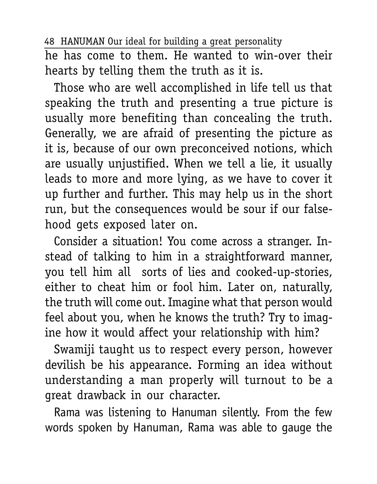he has come to them. He wanted to win-over their hearts by telling them the truth as it is.

Those who are well accomplished in life tell us that speaking the truth and presenting a true picture is usually more benefiting than concealing the truth. Generally, we are afraid of presenting the picture as it is, because of our own preconceived notions, which are usually unjustified. When we tell a lie, it usually leads to more and more lying, as we have to cover it up further and further. This may help us in the short run, but the consequences would be sour if our falsehood gets exposed later on.

Consider a situation! You come across a stranger. Instead of talking to him in a straightforward manner, you tell him all sorts of lies and cooked-up-stories, either to cheat him or fool him. Later on, naturally, the truth will come out. Imagine what that person would feel about you, when he knows the truth? Try to imagine how it would affect your relationship with him?

Swamiji taught us to respect every person, however devilish be his appearance. Forming an idea without understanding a man properly will turnout to be a great drawback in our character.

Rama was listening to Hanuman silently. From the few words spoken by Hanuman, Rama was able to gauge the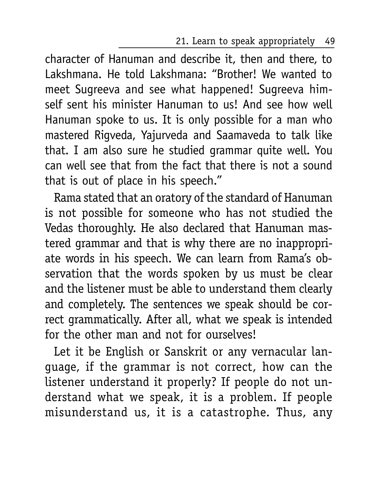21. Learn to speak appropriately 49

character of Hanuman and describe it, then and there, to Lakshmana. He told Lakshmana: "Brother! We wanted to meet Sugreeva and see what happened! Sugreeva himself sent his minister Hanuman to us! And see how well Hanuman spoke to us. It is only possible for a man who mastered Rigveda, Yajurveda and Saamaveda to talk like that. I am also sure he studied grammar quite well. You can well see that from the fact that there is not a sound that is out of place in his speech."

Rama stated that an oratory of the standard of Hanuman is not possible for someone who has not studied the Vedas thoroughly. He also declared that Hanuman mastered grammar and that is why there are no inappropriate words in his speech. We can learn from Rama's observation that the words spoken by us must be clear and the listener must be able to understand them clearly and completely. The sentences we speak should be correct grammatically. After all, what we speak is intended for the other man and not for ourselves!

Let it be English or Sanskrit or any vernacular language, if the grammar is not correct, how can the listener understand it properly? If people do not understand what we speak, it is a problem. If people misunderstand us, it is a catastrophe. Thus, any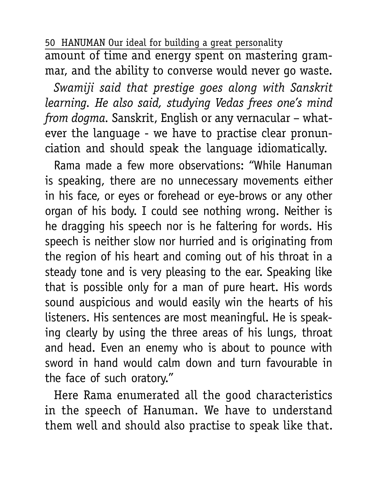50 HANUMAN Our ideal for building a great personality amount of time and energy spent on mastering grammar, and the ability to converse would never go waste.

*Swamiji said that prestige goes along with Sanskrit learning. He also said, studying Vedas frees one's mind from dogma.* Sanskrit, English or any vernacular – whatever the language - we have to practise clear pronunciation and should speak the language idiomatically.

Rama made a few more observations: "While Hanuman is speaking, there are no unnecessary movements either in his face, or eyes or forehead or eye-brows or any other organ of his body. I could see nothing wrong. Neither is he dragging his speech nor is he faltering for words. His speech is neither slow nor hurried and is originating from the region of his heart and coming out of his throat in a steady tone and is very pleasing to the ear. Speaking like that is possible only for a man of pure heart. His words sound auspicious and would easily win the hearts of his listeners. His sentences are most meaningful. He is speaking clearly by using the three areas of his lungs, throat and head. Even an enemy who is about to pounce with sword in hand would calm down and turn favourable in the face of such oratory."

Here Rama enumerated all the good characteristics in the speech of Hanuman. We have to understand them well and should also practise to speak like that.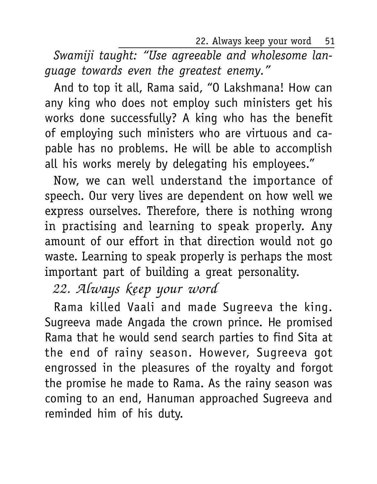22. Always keep your word 51

*Swamiji taught: "Use agreeable and wholesome language towards even the greatest enemy."*

And to top it all, Rama said, "O Lakshmana! How can any king who does not employ such ministers get his works done successfully? A king who has the benefit of employing such ministers who are virtuous and capable has no problems. He will be able to accomplish all his works merely by delegating his employees."

Now, we can well understand the importance of speech. Our very lives are dependent on how well we express ourselves. Therefore, there is nothing wrong in practising and learning to speak properly. Any amount of our effort in that direction would not go waste. Learning to speak properly is perhaps the most important part of building a great personality.

# 22. Always keep your word

Rama killed Vaali and made Sugreeva the king. Sugreeva made Angada the crown prince. He promised Rama that he would send search parties to find Sita at the end of rainy season. However, Sugreeva got engrossed in the pleasures of the royalty and forgot the promise he made to Rama. As the rainy season was coming to an end, Hanuman approached Sugreeva and reminded him of his duty.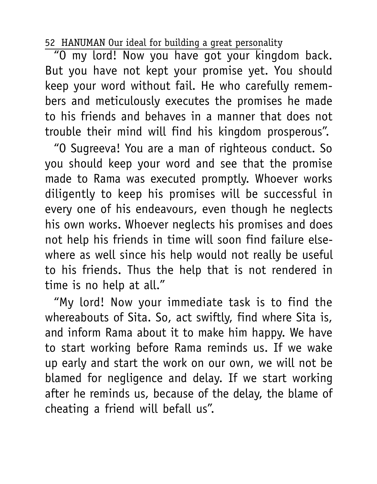"O my lord! Now you have got your kingdom back. But you have not kept your promise yet. You should keep your word without fail. He who carefully remembers and meticulously executes the promises he made to his friends and behaves in a manner that does not trouble their mind will find his kingdom prosperous".

"O Sugreeva! You are a man of righteous conduct. So you should keep your word and see that the promise made to Rama was executed promptly. Whoever works diligently to keep his promises will be successful in every one of his endeavours, even though he neglects his own works. Whoever neglects his promises and does not help his friends in time will soon find failure elsewhere as well since his help would not really be useful to his friends. Thus the help that is not rendered in time is no help at all."

"My lord! Now your immediate task is to find the whereabouts of Sita. So, act swiftly, find where Sita is, and inform Rama about it to make him happy. We have to start working before Rama reminds us. If we wake up early and start the work on our own, we will not be blamed for negligence and delay. If we start working after he reminds us, because of the delay, the blame of cheating a friend will befall us".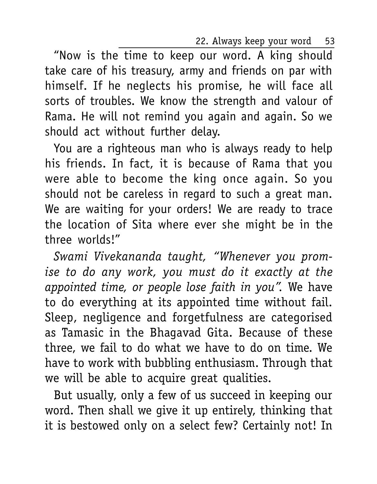22. Always keep your word 53

"Now is the time to keep our word. A king should take care of his treasury, army and friends on par with himself. If he neglects his promise, he will face all sorts of troubles. We know the strength and valour of Rama. He will not remind you again and again. So we should act without further delay.

You are a righteous man who is always ready to help his friends. In fact, it is because of Rama that you were able to become the king once again. So you should not be careless in regard to such a great man. We are waiting for your orders! We are ready to trace the location of Sita where ever she might be in the three worlds!"

*Swami Vivekananda taught, "Whenever you promise to do any work, you must do it exactly at the appointed time, or people lose faith in you".* We have to do everything at its appointed time without fail. Sleep, negligence and forgetfulness are categorised as Tamasic in the Bhagavad Gita. Because of these three, we fail to do what we have to do on time. We have to work with bubbling enthusiasm. Through that we will be able to acquire great qualities.

But usually, only a few of us succeed in keeping our word. Then shall we give it up entirely, thinking that it is bestowed only on a select few? Certainly not! In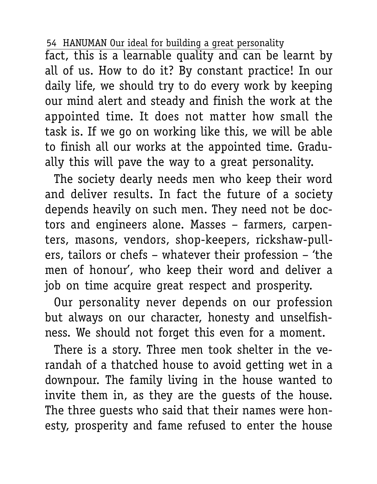fact, this is a learnable quality and can be learnt by all of us. How to do it? By constant practice! In our daily life, we should try to do every work by keeping our mind alert and steady and finish the work at the appointed time. It does not matter how small the task is. If we go on working like this, we will be able to finish all our works at the appointed time. Gradually this will pave the way to a great personality.

The society dearly needs men who keep their word and deliver results. In fact the future of a society depends heavily on such men. They need not be doctors and engineers alone. Masses – farmers, carpenters, masons, vendors, shop-keepers, rickshaw-pullers, tailors or chefs – whatever their profession – 'the men of honour', who keep their word and deliver a job on time acquire great respect and prosperity.

Our personality never depends on our profession but always on our character, honesty and unselfishness. We should not forget this even for a moment.

There is a story. Three men took shelter in the verandah of a thatched house to avoid getting wet in a downpour. The family living in the house wanted to invite them in, as they are the guests of the house. The three guests who said that their names were honesty, prosperity and fame refused to enter the house

<sup>54</sup> HANUMAN Our ideal for building a great personality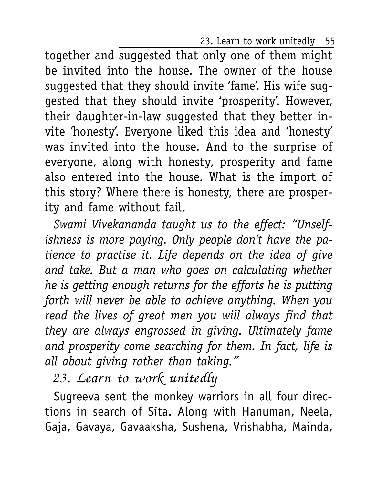23. Learn to work unitedly 55

together and suggested that only one of them might be invited into the house. The owner of the house suggested that they should invite 'fame'. His wife suggested that they should invite 'prosperity'. However, their daughter-in-law suggested that they better invite 'honesty'. Everyone liked this idea and 'honesty' was invited into the house. And to the surprise of everyone, along with honesty, prosperity and fame also entered into the house. What is the import of this story? Where there is honesty, there are prosperity and fame without fail.

*Swami Vivekananda taught us to the effect: "Unselfishness is more paying. Only people don't have the patience to practise it. Life depends on the idea of give and take. But a man who goes on calculating whether he is getting enough returns for the efforts he is putting forth will never be able to achieve anything. When you read the lives of great men you will always find that they are always engrossed in giving. Ultimately fame and prosperity come searching for them. In fact, life is all about giving rather than taking."*

23. Learn to work unitedly

Sugreeva sent the monkey warriors in all four directions in search of Sita. Along with Hanuman, Neela, Gaja, Gavaya, Gavaaksha, Sushena, Vrishabha, Mainda,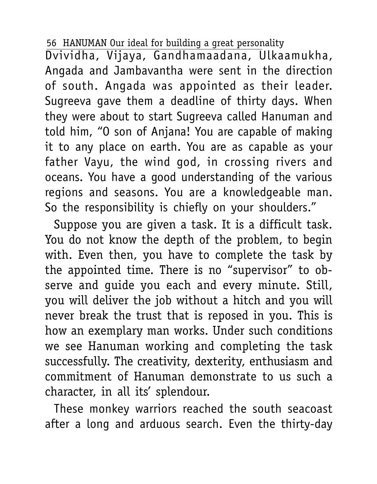Dvividha, Vijaya, Gandhamaadana, Ulkaamukha, Angada and Jambavantha were sent in the direction of south. Angada was appointed as their leader. Sugreeva gave them a deadline of thirty days. When they were about to start Sugreeva called Hanuman and told him, "O son of Anjana! You are capable of making it to any place on earth. You are as capable as your father Vayu, the wind god, in crossing rivers and oceans. You have a good understanding of the various regions and seasons. You are a knowledgeable man. So the responsibility is chiefly on your shoulders."

Suppose you are given a task. It is a difficult task. You do not know the depth of the problem, to begin with. Even then, you have to complete the task by the appointed time. There is no "supervisor" to observe and guide you each and every minute. Still, you will deliver the job without a hitch and you will never break the trust that is reposed in you. This is how an exemplary man works. Under such conditions we see Hanuman working and completing the task successfully. The creativity, dexterity, enthusiasm and commitment of Hanuman demonstrate to us such a character, in all its' splendour.

These monkey warriors reached the south seacoast after a long and arduous search. Even the thirty-day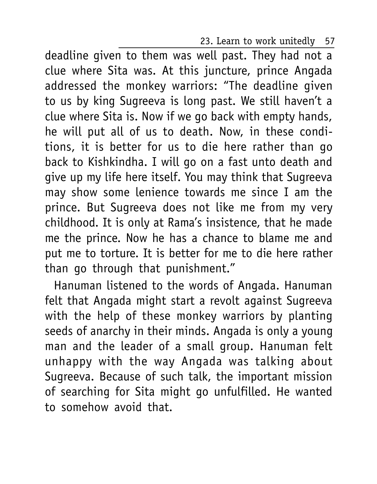23. Learn to work unitedly 57

deadline given to them was well past. They had not a clue where Sita was. At this juncture, prince Angada addressed the monkey warriors: "The deadline given to us by king Sugreeva is long past. We still haven't a clue where Sita is. Now if we go back with empty hands, he will put all of us to death. Now, in these conditions, it is better for us to die here rather than go back to Kishkindha. I will go on a fast unto death and give up my life here itself. You may think that Sugreeva may show some lenience towards me since I am the prince. But Sugreeva does not like me from my very childhood. It is only at Rama's insistence, that he made me the prince. Now he has a chance to blame me and put me to torture. It is better for me to die here rather than go through that punishment."

Hanuman listened to the words of Angada. Hanuman felt that Angada might start a revolt against Sugreeva with the help of these monkey warriors by planting seeds of anarchy in their minds. Angada is only a young man and the leader of a small group. Hanuman felt unhappy with the way Angada was talking about Sugreeva. Because of such talk, the important mission of searching for Sita might go unfulfilled. He wanted to somehow avoid that.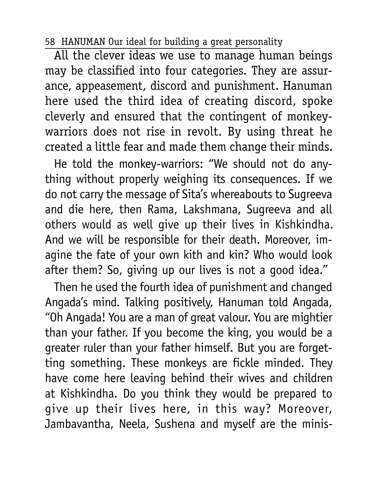All the clever ideas we use to manage human beings may be classified into four categories. They are assurance, appeasement, discord and punishment. Hanuman here used the third idea of creating discord, spoke cleverly and ensured that the contingent of monkeywarriors does not rise in revolt. By using threat he created a little fear and made them change their minds.

He told the monkey-warriors: "We should not do anything without properly weighing its consequences. If we do not carry the message of Sita's whereabouts to Sugreeva and die here, then Rama, Lakshmana, Sugreeva and all others would as well give up their lives in Kishkindha. And we will be responsible for their death. Moreover, imagine the fate of your own kith and kin? Who would look after them? So, giving up our lives is not a good idea."

Then he used the fourth idea of punishment and changed Angada's mind. Talking positively, Hanuman told Angada, "Oh Angada! You are a man of great valour. You are mightier than your father. If you become the king, you would be a greater ruler than your father himself. But you are forgetting something. These monkeys are fickle minded. They have come here leaving behind their wives and children at Kishkindha. Do you think they would be prepared to give up their lives here, in this way? Moreover, Jambavantha, Neela, Sushena and myself are the minis-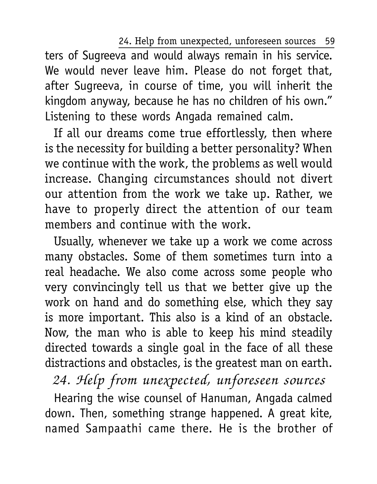24. Help from unexpected, unforeseen sources 59

ters of Sugreeva and would always remain in his service. We would never leave him. Please do not forget that, after Sugreeva, in course of time, you will inherit the kingdom anyway, because he has no children of his own." Listening to these words Angada remained calm.

If all our dreams come true effortlessly, then where is the necessity for building a better personality? When we continue with the work, the problems as well would increase. Changing circumstances should not divert our attention from the work we take up. Rather, we have to properly direct the attention of our team members and continue with the work.

Usually, whenever we take up a work we come across many obstacles. Some of them sometimes turn into a real headache. We also come across some people who very convincingly tell us that we better give up the work on hand and do something else, which they say is more important. This also is a kind of an obstacle. Now, the man who is able to keep his mind steadily directed towards a single goal in the face of all these distractions and obstacles, is the greatest man on earth.

24. Help from unexpected, unforeseen sources Hearing the wise counsel of Hanuman, Angada calmed down. Then, something strange happened. A great kite, named Sampaathi came there. He is the brother of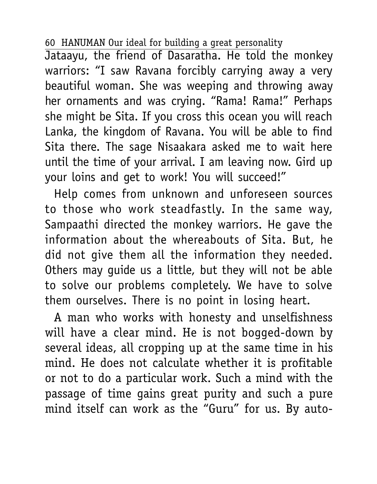Jataayu, the friend of Dasaratha. He told the monkey warriors: "I saw Ravana forcibly carrying away a very beautiful woman. She was weeping and throwing away her ornaments and was crying. "Rama! Rama!" Perhaps she might be Sita. If you cross this ocean you will reach Lanka, the kingdom of Ravana. You will be able to find Sita there. The sage Nisaakara asked me to wait here until the time of your arrival. I am leaving now. Gird up your loins and get to work! You will succeed!"

Help comes from unknown and unforeseen sources to those who work steadfastly. In the same way, Sampaathi directed the monkey warriors. He gave the information about the whereabouts of Sita. But, he did not give them all the information they needed. Others may guide us a little, but they will not be able to solve our problems completely. We have to solve them ourselves. There is no point in losing heart.

A man who works with honesty and unselfishness will have a clear mind. He is not bogged-down by several ideas, all cropping up at the same time in his mind. He does not calculate whether it is profitable or not to do a particular work. Such a mind with the passage of time gains great purity and such a pure mind itself can work as the "Guru" for us. By auto-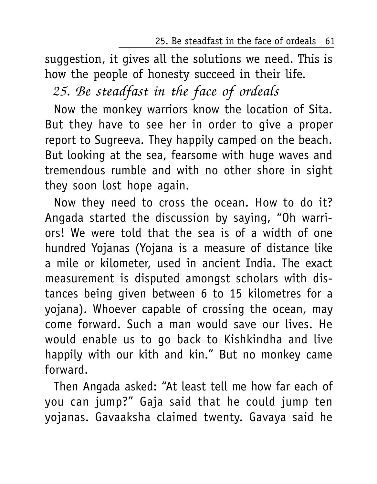25. Be steadfast in the face of ordeals 61

suggestion, it gives all the solutions we need. This is how the people of honesty succeed in their life.

## 25. Be steadfast in the face of ordeals

Now the monkey warriors know the location of Sita. But they have to see her in order to give a proper report to Sugreeva. They happily camped on the beach. But looking at the sea, fearsome with huge waves and tremendous rumble and with no other shore in sight they soon lost hope again.

Now they need to cross the ocean. How to do it? Angada started the discussion by saying, "Oh warriors! We were told that the sea is of a width of one hundred Yojanas (Yojana is a measure of distance like a mile or kilometer, used in ancient India. The exact measurement is disputed amongst scholars with distances being given between 6 to 15 kilometres for a yojana). Whoever capable of crossing the ocean, may come forward. Such a man would save our lives. He would enable us to go back to Kishkindha and live happily with our kith and kin." But no monkey came forward.

Then Angada asked: "At least tell me how far each of you can jump?" Gaja said that he could jump ten yojanas. Gavaaksha claimed twenty. Gavaya said he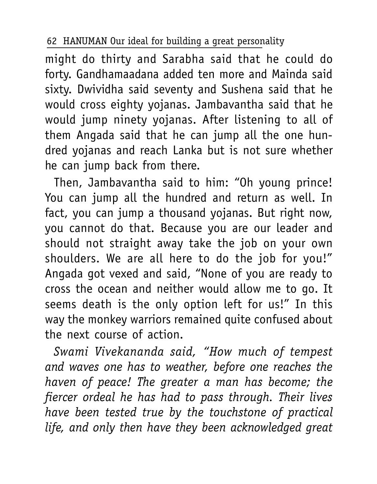might do thirty and Sarabha said that he could do forty. Gandhamaadana added ten more and Mainda said sixty. Dwividha said seventy and Sushena said that he would cross eighty yojanas. Jambavantha said that he would jump ninety yojanas. After listening to all of them Angada said that he can jump all the one hundred yojanas and reach Lanka but is not sure whether he can jump back from there.

Then, Jambavantha said to him: "Oh young prince! You can jump all the hundred and return as well. In fact, you can jump a thousand yojanas. But right now, you cannot do that. Because you are our leader and should not straight away take the job on your own shoulders. We are all here to do the job for you!" Angada got vexed and said, "None of you are ready to cross the ocean and neither would allow me to go. It seems death is the only option left for us!" In this way the monkey warriors remained quite confused about the next course of action.

*Swami Vivekananda said, "How much of tempest and waves one has to weather, before one reaches the haven of peace! The greater a man has become; the fiercer ordeal he has had to pass through. Their lives have been tested true by the touchstone of practical life, and only then have they been acknowledged great*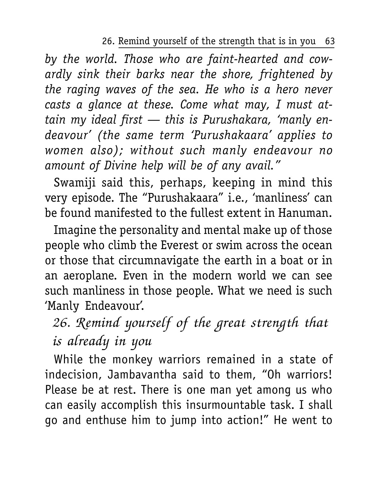26. Remind yourself of the strength that is in you 63

*by the world. Those who are faint-hearted and cowardly sink their barks near the shore, frightened by the raging waves of the sea. He who is a hero never casts a glance at these. Come what may, I must attain my ideal first — this is Purushakara, 'manly endeavour' (the same term 'Purushakaara' applies to women also); without such manly endeavour no amount of Divine help will be of any avail."*

Swamiji said this, perhaps, keeping in mind this very episode. The "Purushakaara" i.e., 'manliness' can be found manifested to the fullest extent in Hanuman.

Imagine the personality and mental make up of those people who climb the Everest or swim across the ocean or those that circumnavigate the earth in a boat or in an aeroplane. Even in the modern world we can see such manliness in those people. What we need is such 'Manly Endeavour'.

## 26. Remind yourself of the great strength that is already in you

While the monkey warriors remained in a state of indecision, Jambavantha said to them, "Oh warriors! Please be at rest. There is one man yet among us who can easily accomplish this insurmountable task. I shall go and enthuse him to jump into action!" He went to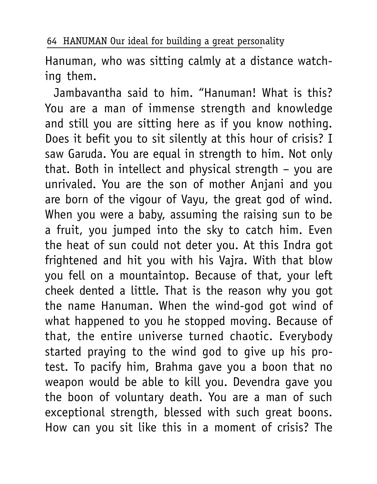Hanuman, who was sitting calmly at a distance watching them.

Jambavantha said to him. "Hanuman! What is this? You are a man of immense strength and knowledge and still you are sitting here as if you know nothing. Does it befit you to sit silently at this hour of crisis? I saw Garuda. You are equal in strength to him. Not only that. Both in intellect and physical strength – you are unrivaled. You are the son of mother Anjani and you are born of the vigour of Vayu, the great god of wind. When you were a baby, assuming the raising sun to be a fruit, you jumped into the sky to catch him. Even the heat of sun could not deter you. At this Indra got frightened and hit you with his Vajra. With that blow you fell on a mountaintop. Because of that, your left cheek dented a little. That is the reason why you got the name Hanuman. When the wind-god got wind of what happened to you he stopped moving. Because of that, the entire universe turned chaotic. Everybody started praying to the wind god to give up his protest. To pacify him, Brahma gave you a boon that no weapon would be able to kill you. Devendra gave you the boon of voluntary death. You are a man of such exceptional strength, blessed with such great boons. How can you sit like this in a moment of crisis? The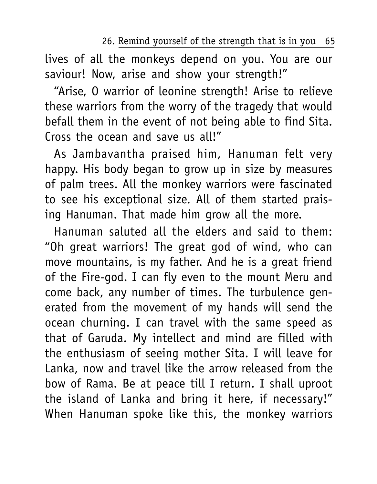26. Remind yourself of the strength that is in you 65

lives of all the monkeys depend on you. You are our saviour! Now, arise and show your strength!"

"Arise, O warrior of leonine strength! Arise to relieve these warriors from the worry of the tragedy that would befall them in the event of not being able to find Sita. Cross the ocean and save us all!"

As Jambavantha praised him, Hanuman felt very happy. His body began to grow up in size by measures of palm trees. All the monkey warriors were fascinated to see his exceptional size. All of them started praising Hanuman. That made him grow all the more.

Hanuman saluted all the elders and said to them: "Oh great warriors! The great god of wind, who can move mountains, is my father. And he is a great friend of the Fire-god. I can fly even to the mount Meru and come back, any number of times. The turbulence generated from the movement of my hands will send the ocean churning. I can travel with the same speed as that of Garuda. My intellect and mind are filled with the enthusiasm of seeing mother Sita. I will leave for Lanka, now and travel like the arrow released from the bow of Rama. Be at peace till I return. I shall uproot the island of Lanka and bring it here, if necessary!" When Hanuman spoke like this, the monkey warriors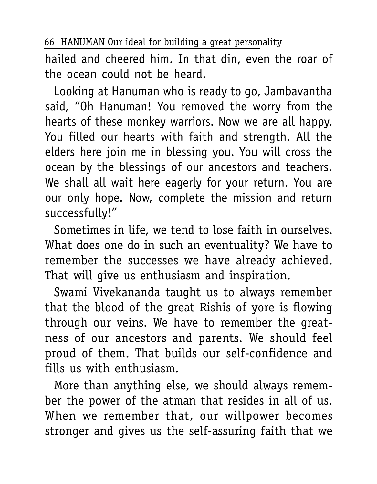hailed and cheered him. In that din, even the roar of the ocean could not be heard.

Looking at Hanuman who is ready to go, Jambavantha said, "Oh Hanuman! You removed the worry from the hearts of these monkey warriors. Now we are all happy. You filled our hearts with faith and strength. All the elders here join me in blessing you. You will cross the ocean by the blessings of our ancestors and teachers. We shall all wait here eagerly for your return. You are our only hope. Now, complete the mission and return successfully!"

Sometimes in life, we tend to lose faith in ourselves. What does one do in such an eventuality? We have to remember the successes we have already achieved. That will give us enthusiasm and inspiration.

Swami Vivekananda taught us to always remember that the blood of the great Rishis of yore is flowing through our veins. We have to remember the greatness of our ancestors and parents. We should feel proud of them. That builds our self-confidence and fills us with enthusiasm.

More than anything else, we should always remember the power of the atman that resides in all of us. When we remember that, our willpower becomes stronger and gives us the self-assuring faith that we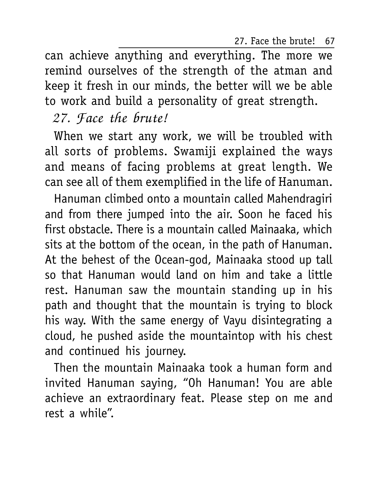27. Face the brute! 67

can achieve anything and everything. The more we remind ourselves of the strength of the atman and keep it fresh in our minds, the better will we be able to work and build a personality of great strength.

## 27. Face the brute!

When we start any work, we will be troubled with all sorts of problems. Swamiji explained the ways and means of facing problems at great length. We can see all of them exemplified in the life of Hanuman.

Hanuman climbed onto a mountain called Mahendragiri and from there jumped into the air. Soon he faced his first obstacle. There is a mountain called Mainaaka, which sits at the bottom of the ocean, in the path of Hanuman. At the behest of the Ocean-god, Mainaaka stood up tall so that Hanuman would land on him and take a little rest. Hanuman saw the mountain standing up in his path and thought that the mountain is trying to block his way. With the same energy of Vayu disintegrating a cloud, he pushed aside the mountaintop with his chest and continued his journey.

Then the mountain Mainaaka took a human form and invited Hanuman saying, "Oh Hanuman! You are able achieve an extraordinary feat. Please step on me and rest a while".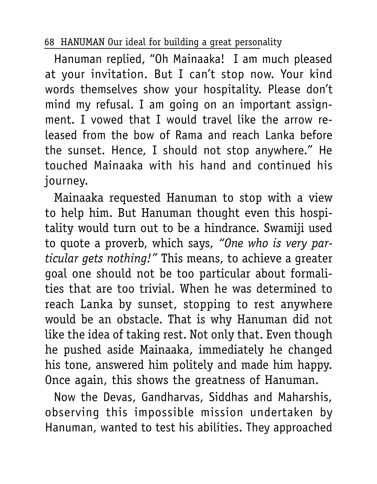Hanuman replied, "Oh Mainaaka! I am much pleased at your invitation. But I can't stop now. Your kind words themselves show your hospitality. Please don't mind my refusal. I am going on an important assignment. I vowed that I would travel like the arrow released from the bow of Rama and reach Lanka before the sunset. Hence, I should not stop anywhere." He touched Mainaaka with his hand and continued his journey.

Mainaaka requested Hanuman to stop with a view to help him. But Hanuman thought even this hospitality would turn out to be a hindrance. Swamiji used to quote a proverb, which says, *"One who is very particular gets nothing!"* This means, to achieve a greater goal one should not be too particular about formalities that are too trivial. When he was determined to reach Lanka by sunset, stopping to rest anywhere would be an obstacle. That is why Hanuman did not like the idea of taking rest. Not only that. Even though he pushed aside Mainaaka, immediately he changed his tone, answered him politely and made him happy. Once again, this shows the greatness of Hanuman.

Now the Devas, Gandharvas, Siddhas and Maharshis, observing this impossible mission undertaken by Hanuman, wanted to test his abilities. They approached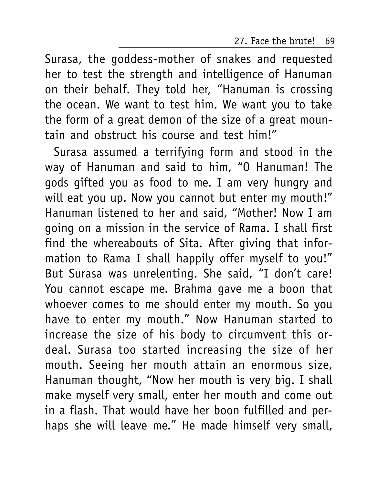27. Face the brute! 69

Surasa, the goddess-mother of snakes and requested her to test the strength and intelligence of Hanuman on their behalf. They told her, "Hanuman is crossing the ocean. We want to test him. We want you to take the form of a great demon of the size of a great mountain and obstruct his course and test him!"

Surasa assumed a terrifying form and stood in the way of Hanuman and said to him, "O Hanuman! The gods gifted you as food to me. I am very hungry and will eat you up. Now you cannot but enter my mouth!" Hanuman listened to her and said, "Mother! Now I am going on a mission in the service of Rama. I shall first find the whereabouts of Sita. After giving that information to Rama I shall happily offer myself to you!" But Surasa was unrelenting. She said, "I don't care! You cannot escape me. Brahma gave me a boon that whoever comes to me should enter my mouth. So you have to enter my mouth." Now Hanuman started to increase the size of his body to circumvent this ordeal. Surasa too started increasing the size of her mouth. Seeing her mouth attain an enormous size, Hanuman thought, "Now her mouth is very big. I shall make myself very small, enter her mouth and come out in a flash. That would have her boon fulfilled and perhaps she will leave me." He made himself very small,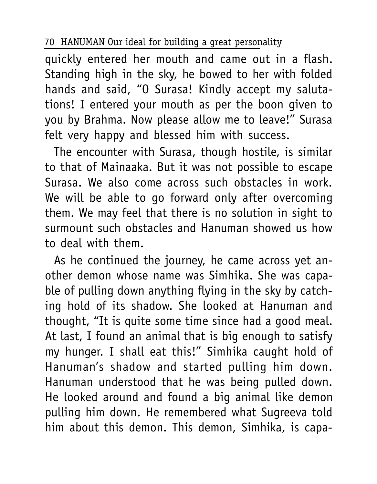quickly entered her mouth and came out in a flash. Standing high in the sky, he bowed to her with folded hands and said, "O Surasa! Kindly accept my salutations! I entered your mouth as per the boon given to you by Brahma. Now please allow me to leave!" Surasa felt very happy and blessed him with success.

The encounter with Surasa, though hostile, is similar to that of Mainaaka. But it was not possible to escape Surasa. We also come across such obstacles in work. We will be able to go forward only after overcoming them. We may feel that there is no solution in sight to surmount such obstacles and Hanuman showed us how to deal with them.

As he continued the journey, he came across yet another demon whose name was Simhika. She was capable of pulling down anything flying in the sky by catching hold of its shadow. She looked at Hanuman and thought, "It is quite some time since had a good meal. At last, I found an animal that is big enough to satisfy my hunger. I shall eat this!" Simhika caught hold of Hanuman's shadow and started pulling him down. Hanuman understood that he was being pulled down. He looked around and found a big animal like demon pulling him down. He remembered what Sugreeva told him about this demon. This demon, Simhika, is capa-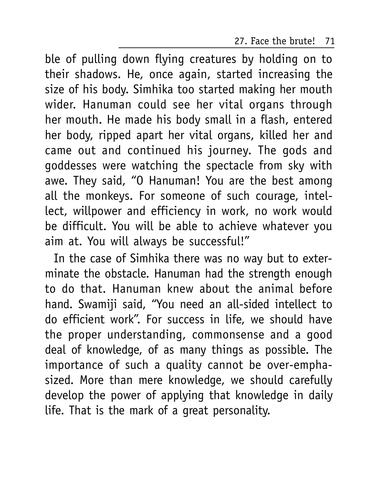### 27. Face the brute! 71

ble of pulling down flying creatures by holding on to their shadows. He, once again, started increasing the size of his body. Simhika too started making her mouth wider. Hanuman could see her vital organs through her mouth. He made his body small in a flash, entered her body, ripped apart her vital organs, killed her and came out and continued his journey. The gods and goddesses were watching the spectacle from sky with awe. They said, "O Hanuman! You are the best among all the monkeys. For someone of such courage, intellect, willpower and efficiency in work, no work would be difficult. You will be able to achieve whatever you aim at. You will always be successful!"

In the case of Simhika there was no way but to exterminate the obstacle. Hanuman had the strength enough to do that. Hanuman knew about the animal before hand. Swamiji said, "You need an all-sided intellect to do efficient work". For success in life, we should have the proper understanding, commonsense and a good deal of knowledge, of as many things as possible. The importance of such a quality cannot be over-emphasized. More than mere knowledge, we should carefully develop the power of applying that knowledge in daily life. That is the mark of a great personality.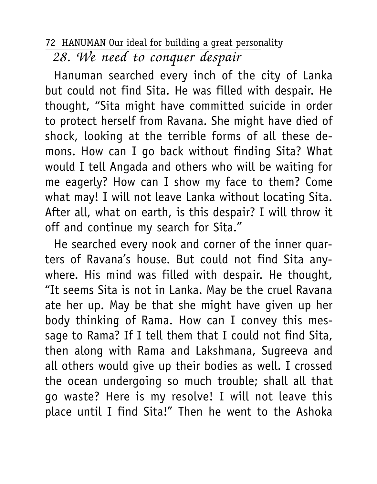28. We need to conquer despair

Hanuman searched every inch of the city of Lanka but could not find Sita. He was filled with despair. He thought, "Sita might have committed suicide in order to protect herself from Ravana. She might have died of shock, looking at the terrible forms of all these demons. How can I go back without finding Sita? What would I tell Angada and others who will be waiting for me eagerly? How can I show my face to them? Come what may! I will not leave Lanka without locating Sita. After all, what on earth, is this despair? I will throw it off and continue my search for Sita."

He searched every nook and corner of the inner quarters of Ravana's house. But could not find Sita anywhere. His mind was filled with despair. He thought, "It seems Sita is not in Lanka. May be the cruel Ravana ate her up. May be that she might have given up her body thinking of Rama. How can I convey this message to Rama? If I tell them that I could not find Sita, then along with Rama and Lakshmana, Sugreeva and all others would give up their bodies as well. I crossed the ocean undergoing so much trouble; shall all that go waste? Here is my resolve! I will not leave this place until I find Sita!" Then he went to the Ashoka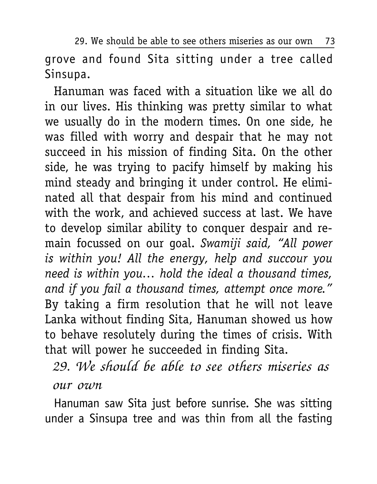29. We should be able to see others miseries as our own 73

grove and found Sita sitting under a tree called Sinsupa.

Hanuman was faced with a situation like we all do in our lives. His thinking was pretty similar to what we usually do in the modern times. On one side, he was filled with worry and despair that he may not succeed in his mission of finding Sita. On the other side, he was trying to pacify himself by making his mind steady and bringing it under control. He eliminated all that despair from his mind and continued with the work, and achieved success at last. We have to develop similar ability to conquer despair and remain focussed on our goal. *Swamiji said, "All power is within you! All the energy, help and succour you need is within you… hold the ideal a thousand times, and if you fail a thousand times, attempt once more."* By taking a firm resolution that he will not leave Lanka without finding Sita, Hanuman showed us how to behave resolutely during the times of crisis. With that will power he succeeded in finding Sita.

29. We should be able to see others miseries as our own

Hanuman saw Sita just before sunrise. She was sitting under a Sinsupa tree and was thin from all the fasting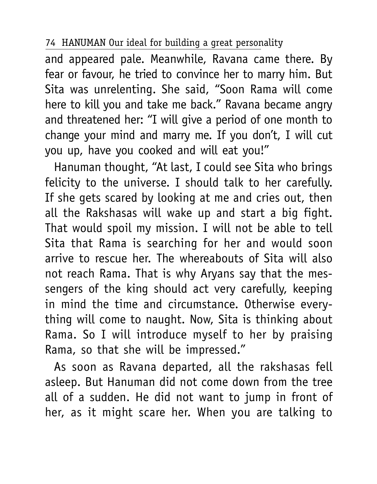and appeared pale. Meanwhile, Ravana came there. By fear or favour, he tried to convince her to marry him. But Sita was unrelenting. She said, "Soon Rama will come here to kill you and take me back." Ravana became angry and threatened her: "I will give a period of one month to change your mind and marry me. If you don't, I will cut you up, have you cooked and will eat you!"

Hanuman thought, "At last, I could see Sita who brings felicity to the universe. I should talk to her carefully. If she gets scared by looking at me and cries out, then all the Rakshasas will wake up and start a big fight. That would spoil my mission. I will not be able to tell Sita that Rama is searching for her and would soon arrive to rescue her. The whereabouts of Sita will also not reach Rama. That is why Aryans say that the messengers of the king should act very carefully, keeping in mind the time and circumstance. Otherwise everything will come to naught. Now, Sita is thinking about Rama. So I will introduce myself to her by praising Rama, so that she will be impressed."

As soon as Ravana departed, all the rakshasas fell asleep. But Hanuman did not come down from the tree all of a sudden. He did not want to jump in front of her, as it might scare her. When you are talking to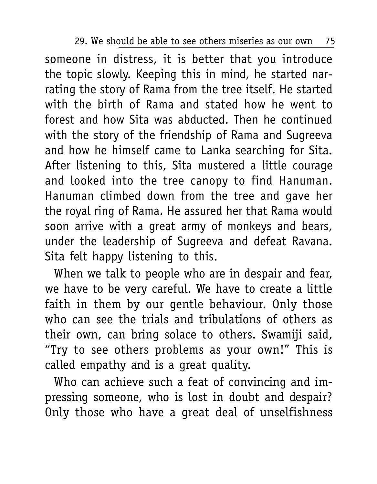29. We should be able to see others miseries as our own 75

someone in distress, it is better that you introduce the topic slowly. Keeping this in mind, he started narrating the story of Rama from the tree itself. He started with the birth of Rama and stated how he went to forest and how Sita was abducted. Then he continued with the story of the friendship of Rama and Sugreeva and how he himself came to Lanka searching for Sita. After listening to this, Sita mustered a little courage and looked into the tree canopy to find Hanuman. Hanuman climbed down from the tree and gave her the royal ring of Rama. He assured her that Rama would soon arrive with a great army of monkeys and bears, under the leadership of Sugreeva and defeat Ravana. Sita felt happy listening to this.

When we talk to people who are in despair and fear, we have to be very careful. We have to create a little faith in them by our gentle behaviour. Only those who can see the trials and tribulations of others as their own, can bring solace to others. Swamiji said, "Try to see others problems as your own!" This is called empathy and is a great quality.

Who can achieve such a feat of convincing and impressing someone, who is lost in doubt and despair? Only those who have a great deal of unselfishness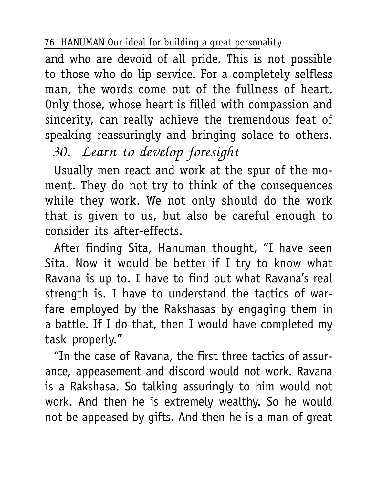and who are devoid of all pride. This is not possible to those who do lip service. For a completely selfless man, the words come out of the fullness of heart. Only those, whose heart is filled with compassion and sincerity, can really achieve the tremendous feat of speaking reassuringly and bringing solace to others.

30. Learn to develop foresight

Usually men react and work at the spur of the moment. They do not try to think of the consequences while they work. We not only should do the work that is given to us, but also be careful enough to consider its after-effects.

After finding Sita, Hanuman thought, "I have seen Sita. Now it would be better if I try to know what Ravana is up to. I have to find out what Ravana's real strength is. I have to understand the tactics of warfare employed by the Rakshasas by engaging them in a battle. If I do that, then I would have completed my task properly."

"In the case of Ravana, the first three tactics of assurance, appeasement and discord would not work. Ravana is a Rakshasa. So talking assuringly to him would not work. And then he is extremely wealthy. So he would not be appeased by gifts. And then he is a man of great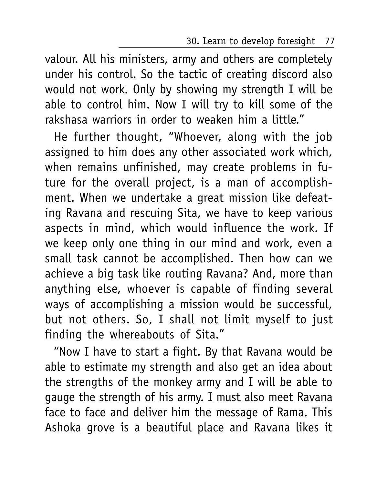30. Learn to develop foresight 77

valour. All his ministers, army and others are completely under his control. So the tactic of creating discord also would not work. Only by showing my strength I will be able to control him. Now I will try to kill some of the rakshasa warriors in order to weaken him a little."

He further thought, "Whoever, along with the job assigned to him does any other associated work which, when remains unfinished, may create problems in future for the overall project, is a man of accomplishment. When we undertake a great mission like defeating Ravana and rescuing Sita, we have to keep various aspects in mind, which would influence the work. If we keep only one thing in our mind and work, even a small task cannot be accomplished. Then how can we achieve a big task like routing Ravana? And, more than anything else, whoever is capable of finding several ways of accomplishing a mission would be successful, but not others. So, I shall not limit myself to just finding the whereabouts of Sita."

"Now I have to start a fight. By that Ravana would be able to estimate my strength and also get an idea about the strengths of the monkey army and I will be able to gauge the strength of his army. I must also meet Ravana face to face and deliver him the message of Rama. This Ashoka grove is a beautiful place and Ravana likes it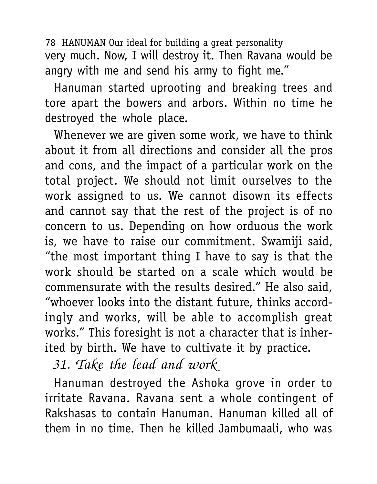78 HANUMAN Our ideal for building a great personality very much. Now, I will destroy it. Then Ravana would be angry with me and send his army to fight me."

Hanuman started uprooting and breaking trees and tore apart the bowers and arbors. Within no time he destroyed the whole place.

Whenever we are given some work, we have to think about it from all directions and consider all the pros and cons, and the impact of a particular work on the total project. We should not limit ourselves to the work assigned to us. We cannot disown its effects and cannot say that the rest of the project is of no concern to us. Depending on how orduous the work is, we have to raise our commitment. Swamiji said, "the most important thing I have to say is that the work should be started on a scale which would be commensurate with the results desired." He also said, "whoever looks into the distant future, thinks accordingly and works, will be able to accomplish great works." This foresight is not a character that is inherited by birth. We have to cultivate it by practice.

31. Take the lead and work

Hanuman destroyed the Ashoka grove in order to irritate Ravana. Ravana sent a whole contingent of Rakshasas to contain Hanuman. Hanuman killed all of them in no time. Then he killed Jambumaali, who was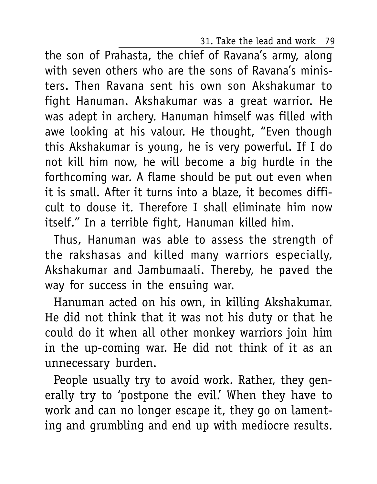31. Take the lead and work 79

the son of Prahasta, the chief of Ravana's army, along with seven others who are the sons of Ravana's ministers. Then Ravana sent his own son Akshakumar to fight Hanuman. Akshakumar was a great warrior. He was adept in archery. Hanuman himself was filled with awe looking at his valour. He thought, "Even though this Akshakumar is young, he is very powerful. If I do not kill him now, he will become a big hurdle in the forthcoming war. A flame should be put out even when it is small. After it turns into a blaze, it becomes difficult to douse it. Therefore I shall eliminate him now itself." In a terrible fight, Hanuman killed him.

Thus, Hanuman was able to assess the strength of the rakshasas and killed many warriors especially, Akshakumar and Jambumaali. Thereby, he paved the way for success in the ensuing war.

Hanuman acted on his own, in killing Akshakumar. He did not think that it was not his duty or that he could do it when all other monkey warriors join him in the up-coming war. He did not think of it as an unnecessary burden.

People usually try to avoid work. Rather, they generally try to 'postpone the evil.' When they have to work and can no longer escape it, they go on lamenting and grumbling and end up with mediocre results.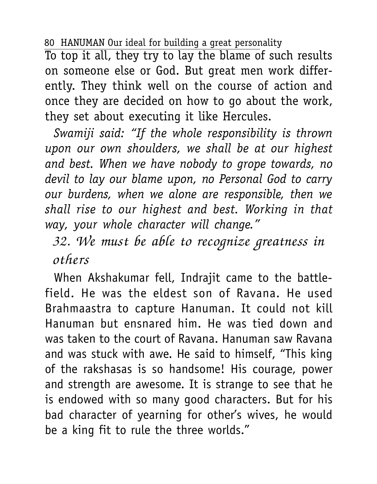To top it all, they try to lay the blame of such results on someone else or God. But great men work differently. They think well on the course of action and once they are decided on how to go about the work, they set about executing it like Hercules.

*Swamiji said: "If the whole responsibility is thrown upon our own shoulders, we shall be at our highest and best. When we have nobody to grope towards, no devil to lay our blame upon, no Personal God to carry our burdens, when we alone are responsible, then we shall rise to our highest and best. Working in that way, your whole character will change."*

32. We must be able to recognize greatness in others

When Akshakumar fell, Indrajit came to the battlefield. He was the eldest son of Ravana. He used Brahmaastra to capture Hanuman. It could not kill Hanuman but ensnared him. He was tied down and was taken to the court of Ravana. Hanuman saw Ravana and was stuck with awe. He said to himself, "This king of the rakshasas is so handsome! His courage, power and strength are awesome. It is strange to see that he is endowed with so many good characters. But for his bad character of yearning for other's wives, he would be a king fit to rule the three worlds."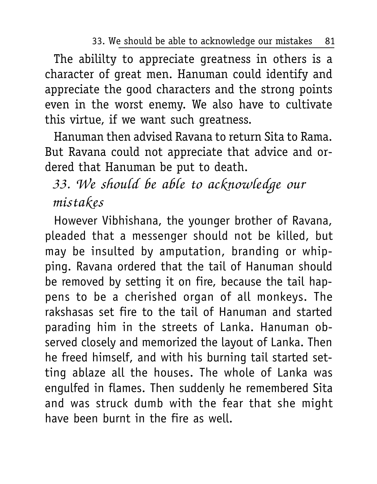33. We should be able to acknowledge our mistakes 81

The abililty to appreciate greatness in others is a character of great men. Hanuman could identify and appreciate the good characters and the strong points even in the worst enemy. We also have to cultivate this virtue, if we want such greatness.

Hanuman then advised Ravana to return Sita to Rama. But Ravana could not appreciate that advice and ordered that Hanuman be put to death.

# 33. We should be able to acknowledge our mistakes

However Vibhishana, the younger brother of Ravana, pleaded that a messenger should not be killed, but may be insulted by amputation, branding or whipping. Ravana ordered that the tail of Hanuman should be removed by setting it on fire, because the tail happens to be a cherished organ of all monkeys. The rakshasas set fire to the tail of Hanuman and started parading him in the streets of Lanka. Hanuman observed closely and memorized the layout of Lanka. Then he freed himself, and with his burning tail started setting ablaze all the houses. The whole of Lanka was engulfed in flames. Then suddenly he remembered Sita and was struck dumb with the fear that she might have been burnt in the fire as well.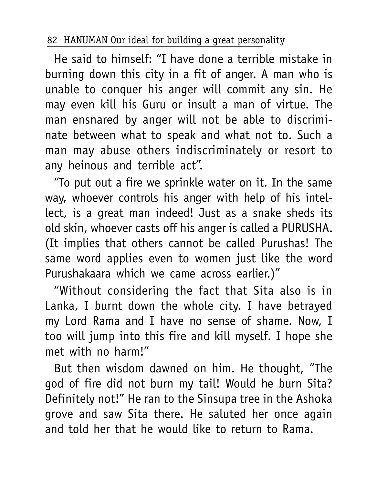He said to himself: "I have done a terrible mistake in burning down this city in a fit of anger. A man who is unable to conquer his anger will commit any sin. He may even kill his Guru or insult a man of virtue. The man ensnared by anger will not be able to discriminate between what to speak and what not to. Such a man may abuse others indiscriminately or resort to any heinous and terrible act".

"To put out a fire we sprinkle water on it. In the same way, whoever controls his anger with help of his intellect, is a great man indeed! Just as a snake sheds its old skin, whoever casts off his anger is called a PURUSHA. (It implies that others cannot be called Purushas! The same word applies even to women just like the word Purushakaara which we came across earlier.)"

"Without considering the fact that Sita also is in Lanka, I burnt down the whole city. I have betrayed my Lord Rama and I have no sense of shame. Now, I too will jump into this fire and kill myself. I hope she met with no harm!"

But then wisdom dawned on him. He thought, "The god of fire did not burn my tail! Would he burn Sita? Definitely not!" He ran to the Sinsupa tree in the Ashoka grove and saw Sita there. He saluted her once again and told her that he would like to return to Rama.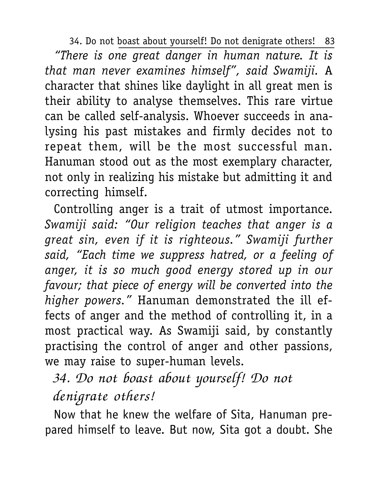34. Do not boast about yourself! Do not denigrate others! 83 *"There is one great danger in human nature. It is that man never examines himself", said Swamiji.* A character that shines like daylight in all great men is their ability to analyse themselves. This rare virtue can be called self-analysis. Whoever succeeds in analysing his past mistakes and firmly decides not to repeat them, will be the most successful man. Hanuman stood out as the most exemplary character, not only in realizing his mistake but admitting it and correcting himself.

Controlling anger is a trait of utmost importance. *Swamiji said: "Our religion teaches that anger is a great sin, even if it is righteous." Swamiji further said, "Each time we suppress hatred, or a feeling of anger, it is so much good energy stored up in our favour; that piece of energy will be converted into the higher powers."* Hanuman demonstrated the ill effects of anger and the method of controlling it, in a most practical way. As Swamiji said, by constantly practising the control of anger and other passions, we may raise to super-human levels.

# 34. Do not boast about yourself! Do not denigrate others!

Now that he knew the welfare of Sita, Hanuman prepared himself to leave. But now, Sita got a doubt. She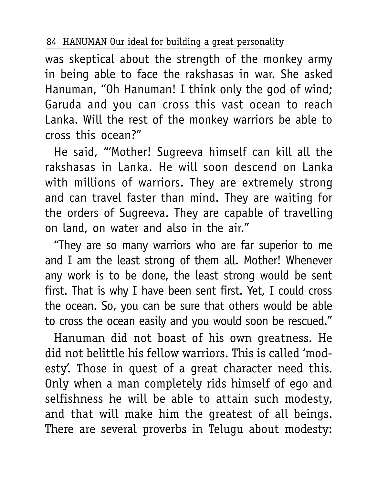was skeptical about the strength of the monkey army in being able to face the rakshasas in war. She asked Hanuman, "Oh Hanuman! I think only the god of wind; Garuda and you can cross this vast ocean to reach Lanka. Will the rest of the monkey warriors be able to cross this ocean?"

He said, "'Mother! Sugreeva himself can kill all the rakshasas in Lanka. He will soon descend on Lanka with millions of warriors. They are extremely strong and can travel faster than mind. They are waiting for the orders of Sugreeva. They are capable of travelling on land, on water and also in the air."

"They are so many warriors who are far superior to me and I am the least strong of them all. Mother! Whenever any work is to be done, the least strong would be sent first. That is why I have been sent first. Yet, I could cross the ocean. So, you can be sure that others would be able to cross the ocean easily and you would soon be rescued."

Hanuman did not boast of his own greatness. He did not belittle his fellow warriors. This is called 'modesty'. Those in quest of a great character need this. Only when a man completely rids himself of ego and selfishness he will be able to attain such modesty, and that will make him the greatest of all beings. There are several proverbs in Telugu about modesty: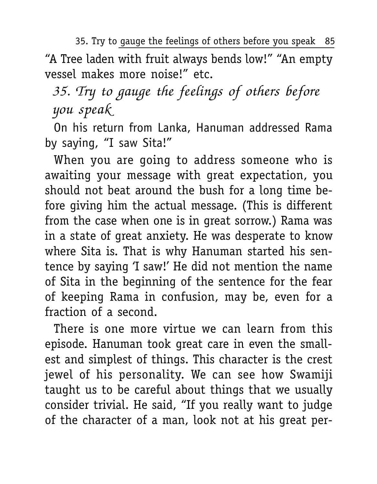35. Try to gauge the feelings of others before you speak 85

"A Tree laden with fruit always bends low!" "An empty vessel makes more noise!" etc.

35. Try to gauge the feelings of others before you speak

On his return from Lanka, Hanuman addressed Rama by saying, "I saw Sita!"

When you are going to address someone who is awaiting your message with great expectation, you should not beat around the bush for a long time before giving him the actual message. (This is different from the case when one is in great sorrow.) Rama was in a state of great anxiety. He was desperate to know where Sita is. That is why Hanuman started his sentence by saying 'I saw!' He did not mention the name of Sita in the beginning of the sentence for the fear of keeping Rama in confusion, may be, even for a fraction of a second.

There is one more virtue we can learn from this episode. Hanuman took great care in even the smallest and simplest of things. This character is the crest jewel of his personality. We can see how Swamiji taught us to be careful about things that we usually consider trivial. He said, "If you really want to judge of the character of a man, look not at his great per-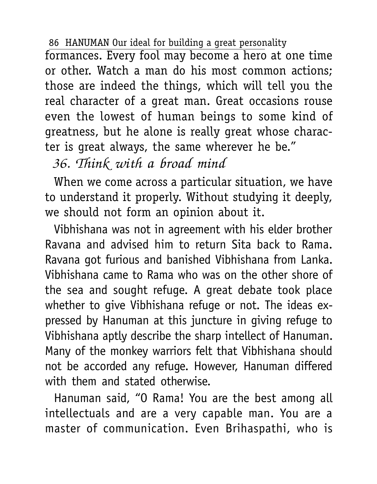formances. Every fool may become a hero at one time or other. Watch a man do his most common actions; those are indeed the things, which will tell you the real character of a great man. Great occasions rouse even the lowest of human beings to some kind of greatness, but he alone is really great whose character is great always, the same wherever he be."

36. Think with a broad mind

When we come across a particular situation, we have to understand it properly. Without studying it deeply, we should not form an opinion about it.

Vibhishana was not in agreement with his elder brother Ravana and advised him to return Sita back to Rama. Ravana got furious and banished Vibhishana from Lanka. Vibhishana came to Rama who was on the other shore of the sea and sought refuge. A great debate took place whether to give Vibhishana refuge or not. The ideas expressed by Hanuman at this juncture in giving refuge to Vibhishana aptly describe the sharp intellect of Hanuman. Many of the monkey warriors felt that Vibhishana should not be accorded any refuge. However, Hanuman differed with them and stated otherwise.

Hanuman said, "O Rama! You are the best among all intellectuals and are a very capable man. You are a master of communication. Even Brihaspathi, who is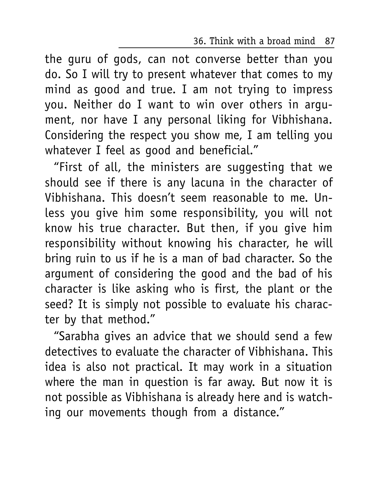36. Think with a broad mind 87

the guru of gods, can not converse better than you do. So I will try to present whatever that comes to my mind as good and true. I am not trying to impress you. Neither do I want to win over others in argument, nor have I any personal liking for Vibhishana. Considering the respect you show me, I am telling you whatever I feel as good and beneficial."

"First of all, the ministers are suggesting that we should see if there is any lacuna in the character of Vibhishana. This doesn't seem reasonable to me. Unless you give him some responsibility, you will not know his true character. But then, if you give him responsibility without knowing his character, he will bring ruin to us if he is a man of bad character. So the argument of considering the good and the bad of his character is like asking who is first, the plant or the seed? It is simply not possible to evaluate his character by that method."

"Sarabha gives an advice that we should send a few detectives to evaluate the character of Vibhishana. This idea is also not practical. It may work in a situation where the man in question is far away. But now it is not possible as Vibhishana is already here and is watching our movements though from a distance."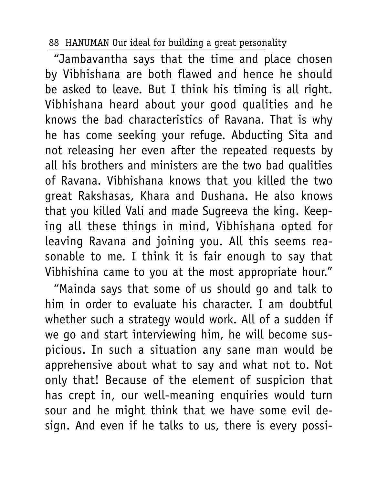"Jambavantha says that the time and place chosen by Vibhishana are both flawed and hence he should be asked to leave. But I think his timing is all right. Vibhishana heard about your good qualities and he knows the bad characteristics of Ravana. That is why he has come seeking your refuge. Abducting Sita and not releasing her even after the repeated requests by all his brothers and ministers are the two bad qualities of Ravana. Vibhishana knows that you killed the two great Rakshasas, Khara and Dushana. He also knows that you killed Vali and made Sugreeva the king. Keeping all these things in mind, Vibhishana opted for leaving Ravana and joining you. All this seems reasonable to me. I think it is fair enough to say that Vibhishina came to you at the most appropriate hour."

"Mainda says that some of us should go and talk to him in order to evaluate his character. I am doubtful whether such a strategy would work. All of a sudden if we go and start interviewing him, he will become suspicious. In such a situation any sane man would be apprehensive about what to say and what not to. Not only that! Because of the element of suspicion that has crept in, our well-meaning enquiries would turn sour and he might think that we have some evil design. And even if he talks to us, there is every possi-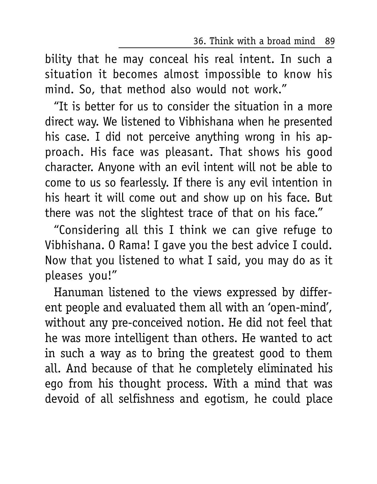36. Think with a broad mind 89

bility that he may conceal his real intent. In such a situation it becomes almost impossible to know his mind. So, that method also would not work."

"It is better for us to consider the situation in a more direct way. We listened to Vibhishana when he presented his case. I did not perceive anything wrong in his approach. His face was pleasant. That shows his good character. Anyone with an evil intent will not be able to come to us so fearlessly. If there is any evil intention in his heart it will come out and show up on his face. But there was not the slightest trace of that on his face."

"Considering all this I think we can give refuge to Vibhishana. O Rama! I gave you the best advice I could. Now that you listened to what I said, you may do as it pleases you!"

Hanuman listened to the views expressed by different people and evaluated them all with an 'open-mind', without any pre-conceived notion. He did not feel that he was more intelligent than others. He wanted to act in such a way as to bring the greatest good to them all. And because of that he completely eliminated his ego from his thought process. With a mind that was devoid of all selfishness and egotism, he could place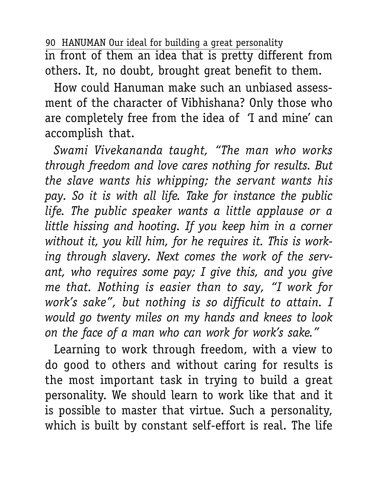90 HANUMAN Our ideal for building a great personality in front of them an idea that is pretty different from others. It, no doubt, brought great benefit to them.

How could Hanuman make such an unbiased assessment of the character of Vibhishana? Only those who are completely free from the idea of 'I and mine' can accomplish that.

*Swami Vivekananda taught, "The man who works through freedom and love cares nothing for results. But the slave wants his whipping; the servant wants his pay. So it is with all life. Take for instance the public life. The public speaker wants a little applause or a little hissing and hooting. If you keep him in a corner without it, you kill him, for he requires it. This is working through slavery. Next comes the work of the servant, who requires some pay; I give this, and you give me that. Nothing is easier than to say, "I work for work's sake", but nothing is so difficult to attain. I would go twenty miles on my hands and knees to look on the face of a man who can work for work's sake."*

Learning to work through freedom, with a view to do good to others and without caring for results is the most important task in trying to build a great personality. We should learn to work like that and it is possible to master that virtue. Such a personality, which is built by constant self-effort is real. The life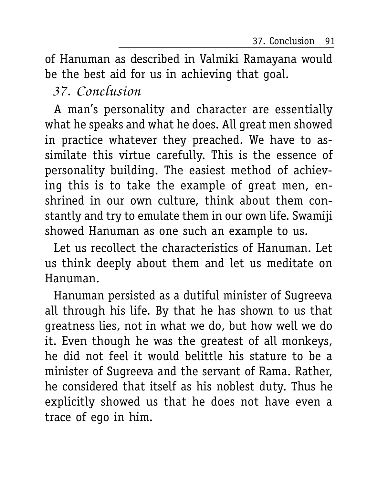37. Conclusion 91

of Hanuman as described in Valmiki Ramayana would be the best aid for us in achieving that goal.

## 37. Conclusion

A man's personality and character are essentially what he speaks and what he does. All great men showed in practice whatever they preached. We have to assimilate this virtue carefully. This is the essence of personality building. The easiest method of achieving this is to take the example of great men, enshrined in our own culture, think about them constantly and try to emulate them in our own life. Swamiji showed Hanuman as one such an example to us.

Let us recollect the characteristics of Hanuman. Let us think deeply about them and let us meditate on Hanuman.

Hanuman persisted as a dutiful minister of Sugreeva all through his life. By that he has shown to us that greatness lies, not in what we do, but how well we do it. Even though he was the greatest of all monkeys, he did not feel it would belittle his stature to be a minister of Sugreeva and the servant of Rama. Rather, he considered that itself as his noblest duty. Thus he explicitly showed us that he does not have even a trace of ego in him.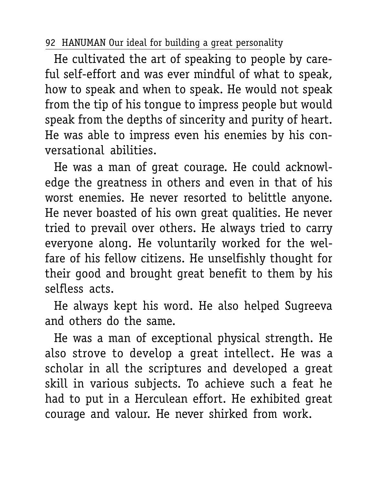He cultivated the art of speaking to people by careful self-effort and was ever mindful of what to speak, how to speak and when to speak. He would not speak from the tip of his tongue to impress people but would speak from the depths of sincerity and purity of heart. He was able to impress even his enemies by his conversational abilities.

He was a man of great courage. He could acknowledge the greatness in others and even in that of his worst enemies. He never resorted to belittle anyone. He never boasted of his own great qualities. He never tried to prevail over others. He always tried to carry everyone along. He voluntarily worked for the welfare of his fellow citizens. He unselfishly thought for their good and brought great benefit to them by his selfless acts.

He always kept his word. He also helped Sugreeva and others do the same.

He was a man of exceptional physical strength. He also strove to develop a great intellect. He was a scholar in all the scriptures and developed a great skill in various subjects. To achieve such a feat he had to put in a Herculean effort. He exhibited great courage and valour. He never shirked from work.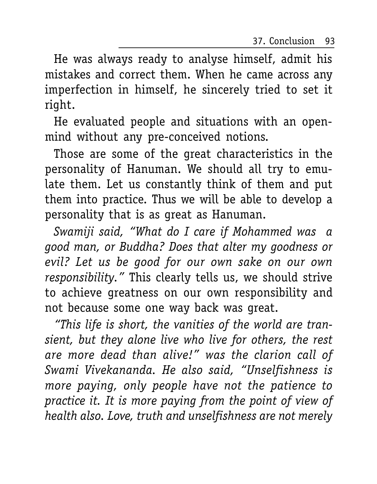37. Conclusion 93

He was always ready to analyse himself, admit his mistakes and correct them. When he came across any imperfection in himself, he sincerely tried to set it right.

He evaluated people and situations with an openmind without any pre-conceived notions.

Those are some of the great characteristics in the personality of Hanuman. We should all try to emulate them. Let us constantly think of them and put them into practice. Thus we will be able to develop a personality that is as great as Hanuman.

*Swamiji said, "What do I care if Mohammed was a good man, or Buddha? Does that alter my goodness or evil? Let us be good for our own sake on our own responsibility."* This clearly tells us, we should strive to achieve greatness on our own responsibility and not because some one way back was great.

*"This life is short, the vanities of the world are transient, but they alone live who live for others, the rest are more dead than alive!" was the clarion call of Swami Vivekananda. He also said, "Unselfishness is more paying, only people have not the patience to practice it. It is more paying from the point of view of health also. Love, truth and unselfishness are not merely*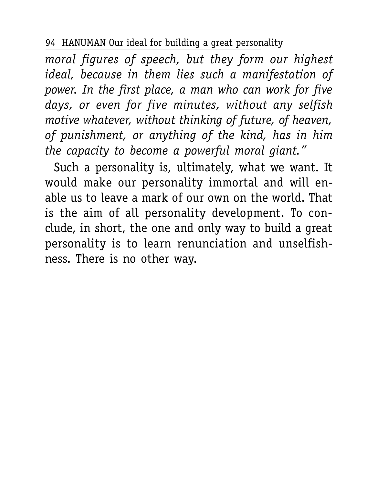*moral figures of speech, but they form our highest ideal, because in them lies such a manifestation of power. In the first place, a man who can work for five days, or even for five minutes, without any selfish motive whatever, without thinking of future, of heaven, of punishment, or anything of the kind, has in him the capacity to become a powerful moral giant."*

Such a personality is, ultimately, what we want. It would make our personality immortal and will enable us to leave a mark of our own on the world. That is the aim of all personality development. To conclude, in short, the one and only way to build a great personality is to learn renunciation and unselfishness. There is no other way.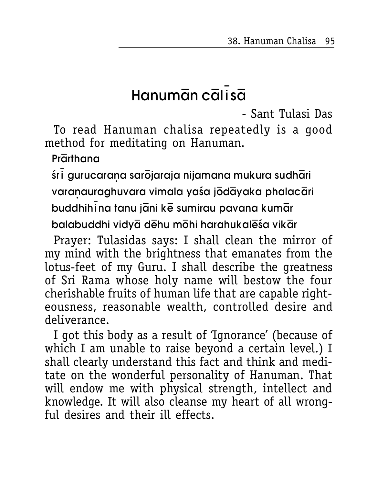38. Hanuman Chalisa 95

# $Hamum\bar{a}n c\bar{a}l\bar{i}s\bar{a}$

- Sant Tulasi Das

To read Hanuman chalisa repeatedly is a good method for meditating on Hanuman.

## Prarthana

śri gurucarana sarōjaraja nijamana mukura sudhāri

varanauraghuvara vimala yaśa jōdāyaka phalacāri

buddhihina tanu jāni kē sumirau pavana kumār

balabuddhi vidya dehu mohi harahukaleśa vikar

Prayer: Tulasidas says: I shall clean the mirror of my mind with the brightness that emanates from the lotus-feet of my Guru. I shall describe the greatness of Sri Rama whose holy name will bestow the four cherishable fruits of human life that are capable righteousness, reasonable wealth, controlled desire and deliverance.

I got this body as a result of 'Ignorance' (because of which I am unable to raise beyond a certain level.) I shall clearly understand this fact and think and meditate on the wonderful personality of Hanuman. That will endow me with physical strength, intellect and knowledge. It will also cleanse my heart of all wrongful desires and their ill effects.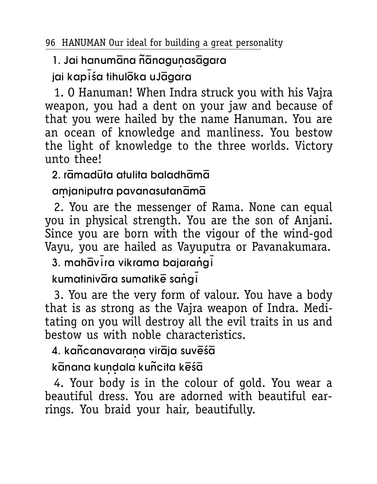## 1. Jai hanumāna ñānagunasāgara

jai kapiśa tihuloka uJagara

1. O Hanuman! When Indra struck you with his Vajra weapon, you had a dent on your jaw and because of that you were hailed by the name Hanuman. You are an ocean of knowledge and manliness. You bestow the light of knowledge to the three worlds. Victory linto theel

## $\sigma$  ramadūta atulita baladhāmā

## amjaniputra pavanasutanāmā

2. You are the messenger of Rama. None can equal you in physical strength. You are the son of Anjani. Since you are born with the vigour of the wind-god Vayu, you are hailed as Vayuputra or Pavanakumara.

3. mahāvira vikrama bajaranaj

kumatinivāra sumatikē saņai

3. You are the very form of valour. You have a body that is as strong as the Vajra weapon of Indra. Meditating on you will destroy all the evil traits in us and bestow us with noble characteristics.

## 4. kañcanavarana virāja suvēšā

## kānana kundaļa kuñcita kēšā

4. Your body is in the colour of gold. You wear a beautiful dress. You are adorned with beautiful earrings. You braid your hair, beautifully.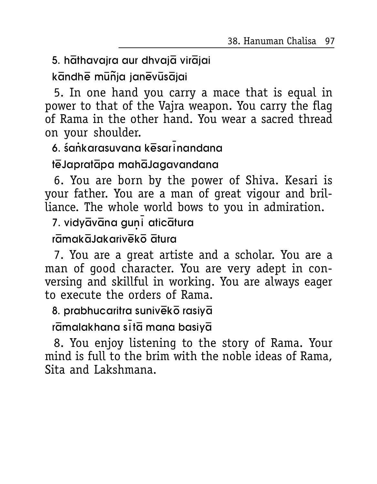38. Hanuman Chalisa 97

5. hathavajra aur dhvajā virājai

kāndhē mūñja janēvūsājai

5. In one hand you carry a mace that is equal in power to that of the Vajra weapon. You carry the flag of Rama in the other hand. You wear a sacred thread on your shoulder.

6. śankarasuvana kēsarinandana

#### tēJapratāpa mahāJagavandana

6. You are born by the power of Shiva. Kesari is your father. You are a man of great vigour and brilliance. The whole world bows to you in admiration.

7. vidyāvāna guni aticātura

rāmakāJakarivēkō ātura

7. You are a great artiste and a scholar. You are a man of good character. You are very adept in conversing and skillful in working. You are always eager to execute the orders of Rama.

8. prabhucaritra sunivēko rasiya

rāmalakhana sitā mana basiyā

8. You enjoy listening to the story of Rama. Your mind is full to the brim with the noble ideas of Rama, Sita and Lakshmana.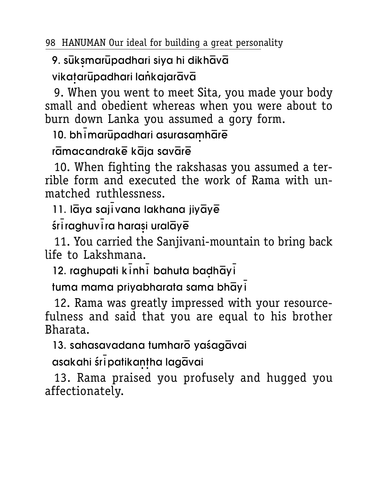## 9. suksmarupadhari siya hi dikhaya

## vikatarūpadhari lankajarāvā

9. When you went to meet Sita, you made your body small and obedient whereas when you were about to burn down Lanka you assumed a gory form.

10. bhi marupadhari asurasamhare

rāmacandrakē kāja savārē

10. When fighting the rakshasas you assumed a terrible form and executed the work of Rama with unmatched ruthlessness.

11. lāya sajīvana lakhana jiyāyē

śriraghuvira harasi uralāyē

11. You carried the Sanjivani-mountain to bring back life to Lakshmana

12. raghupati kinhi bahuta badhayi

tuma mama privabharata sama bhāvi

12. Rama was greatly impressed with your resourcefulness and said that you are equal to his brother Bharata.

13. sahasavadana tumharō vaśagāvai

asakahi śripatikantha lagāvai

13. Rama praised you profusely and hugged you affectionately.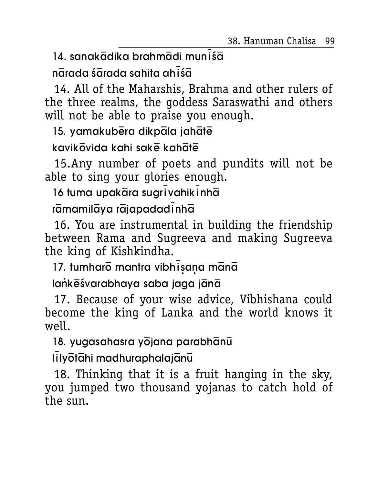38. Hanuman Chalisa 99

14. sanakādika brahmādi munišā

nārada śārada sahita ahiśā

14. All of the Maharshis, Brahma and other rulers of<br>the three realms, the goddess Saraswathi and others will not be able to praise you enough.

15. yamakubera dikpala jahate

#### kavikovida kahi sake kahate

15. Any number of poets and pundits will not be able to sing your glories enough.

16 tuma upakāra sugrīvahikīnhā

## rāmamilāya rājapadadinhā

16. You are instrumental in building the friendship between Rama and Sugreeva and making Sugreeva the king of Kishkindha.

17. tumharō mantra vibhisana mānā

### lankeśvarabhaya saba jaga jana

17. Because of your wise advice, Vibhishana could become the king of Lanka and the world knows it well.

18. yugasahasra yojana parabhanu

lilyötähi madhuraphalajänü

18. Thinking that it is a fruit hanging in the sky, you jumped two thousand yojanas to catch hold of the sun.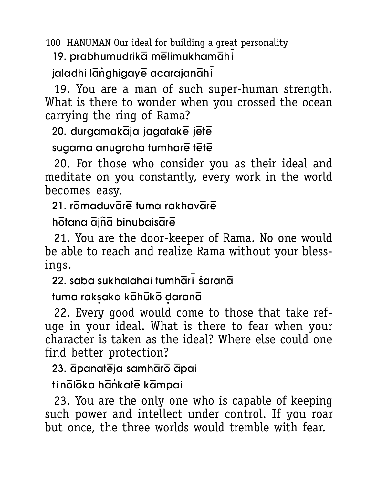19. prabhumudrikā mēlimukhamāhi

jaladhi langhigaye acarajanahi

19. You are a man of such super-human strength. What is there to wonder when you crossed the ocean carrying the ring of Rama?

20. durgamakāja jagatakē jētē

#### sugama anugraha tumhare tete

20. For those who consider you as their ideal and meditate on you constantly, every work in the world becomes easy.

 $21.$  ramaduvare tuma rakhavare

 $h\bar{o}$ tana  $\bar{o}$ iñ $\bar{o}$  binubais $\bar{o}$ re

21. You are the door-keeper of Rama. No one would be able to reach and realize Rama without your blessings.

 $22.$  saba sukhalahai tumh $\bar{a}$ r $\bar{i}$  śaran $\bar{a}$ 

tuma raksaka kāhūkō daranā

22. Every good would come to those that take refuge in your ideal. What is there to fear when your character is taken as the ideal? Where else could one find better protection?

23. āpanatēja samhārō āpai

tinōlōka hāṅkatē kāmpai

23. You are the only one who is capable of keeping such power and intellect under control. If you roar but once, the three worlds would tremble with fear.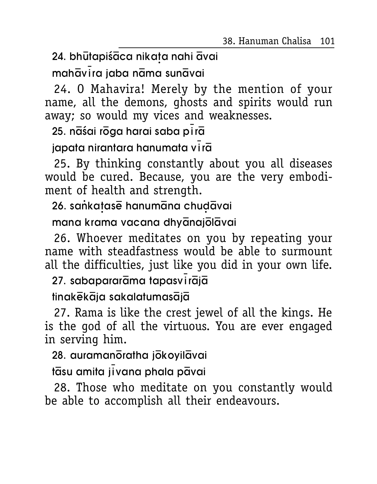38. Hanuman Chalisa 101

24. bhūtapiśāca nikata nahi āvai

mahāvira jaba nāma sunāvai

24. O Mahavira! Merely by the mention of your name, all the demons, ghosts and spirits would run away; so would my vices and weaknesses.

25. nāśai rōga harai saba pirā

japata nirantara hanumata vira

25. By thinking constantly about you all diseases would be cured. Because, you are the very embodiment of health and strength.

26. sankatase hanumana chudavai

mana krama vacana dhyanajolavai

26. Whoever meditates on you by repeating your name with steadfastness would be able to surmount all the difficulties, just like you did in your own life.

27. sabapararāma tapasvirājā

tinakēkāja sakalatumasājā

27. Rama is like the crest jewel of all the kings. He is the god of all the virtuous. You are ever engaged in serving him.

28. auramanoratha jokoyilavai

tāsu amita jīvana phala pāvai

28. Those who meditate on you constantly would be able to accomplish all their endeavours.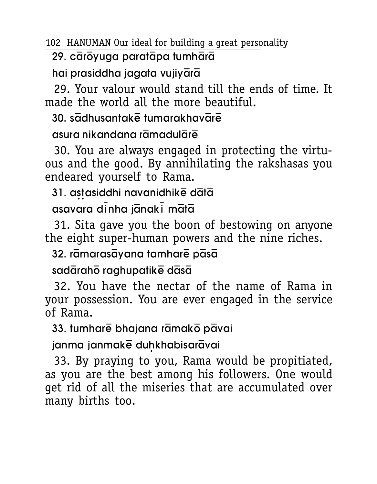#### 29. cārōyuga paratāpa tumhārā

hai prasiddha jagata vujiyārā

29. Your valour would stand till the ends of time. It made the world all the more beautiful.

#### $30.$  s $\overline{a}$ dhusantak $\overline{e}$  tumarakhav $\overline{a}$ r $\overline{e}$

#### asura nikandana rāmadulārē

30. You are always engaged in protecting the virtuous and the good. By annihilating the rakshasas you endeared yourself to Rama.

## 31. astasiddhi navanidhike data

 $asavaa$  dinha j $\bar{a}$ nak $\bar{i}$  m $\bar{a}$ ta

31. Sita gave you the boon of bestowing on anyone the eight super-human powers and the nine riches.

32. rāmarasāyana tamharē pāsā

#### $s$ ad $\bar{a}$ rah $\bar{o}$  raghupatik $\bar{e}$  d $\bar{a}s\bar{a}$

32. You have the nectar of the name of Rama in your possession. You are ever engaged in the service of Rama.

33. tumharē bhajana rāmakō pāvai

janma janmake duhkhabisaravai

33. By praying to you, Rama would be propitiated, as you are the best among his followers. One would get rid of all the miseries that are accumulated over many births too.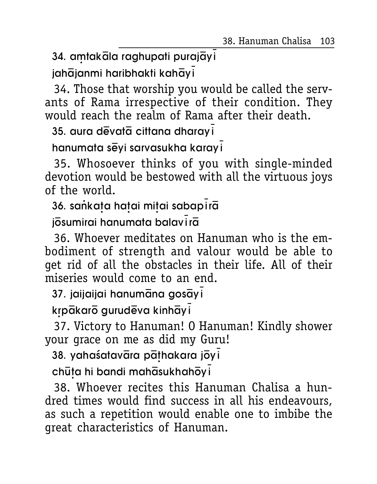38. Hanuman Chalisa 103

34. amtakala raghupati purajāyi

jahājanmi haribhakti kahāyi

34. Those that worship you would be called the servants of Rama irrespective of their condition. They would reach the realm of Rama after their death.

35. aura devata cittana dharayi

hanumata sēyi sarvasukha karayi

35. Whosoever thinks of you with single-minded devotion would be bestowed with all the virtuous joys of the world.

36. sankata hatai mitai sabapirā

josumirai hanumata balavira

36. Whoever meditates on Hanuman who is the embodiment of strength and valour would be able to get rid of all the obstacles in their life. All of their miseries would come to an end.

37. jaijaijai hanumāna gosāyi

krpākarō gurudēva kinhāyi

37. Victory to Hanuman! O Hanuman! Kindly shower your grace on me as did my Guru!

38. yahaśatavāra pāthakara jōyi

chūța hi bandi mahāsukhahōyi

38. Whoever recites this Hanuman Chalisa a hundred times would find success in all his endeavours, as such a repetition would enable one to imbibe the great characteristics of Hanuman.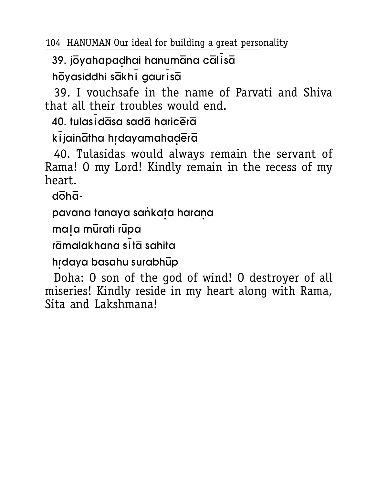39. jõvahapadhaj hanumāna cālīsā hovasiddhi sakhi gaurisa

39. I vouchsafe in the name of Parvati and Shiva that all their troubles would end.

maning and ananjanli 04

kijainātha hrdayamahadērā

40. Tulasidas would always remain the servant of Rama! 0 my Lord! Kindly remain in the recess of my hoart

 $d\bar{d}h\bar{d}$ -

pavana tanaya sankata harana

mala mūrati rūpa

rāmalakhana sītā sahita

hrdava basahu surabhūp

Doha: 0 son of the god of wind! 0 destroyer of all miseries! Kindly reside in my heart along with Rama, Sita and Lakshmana!